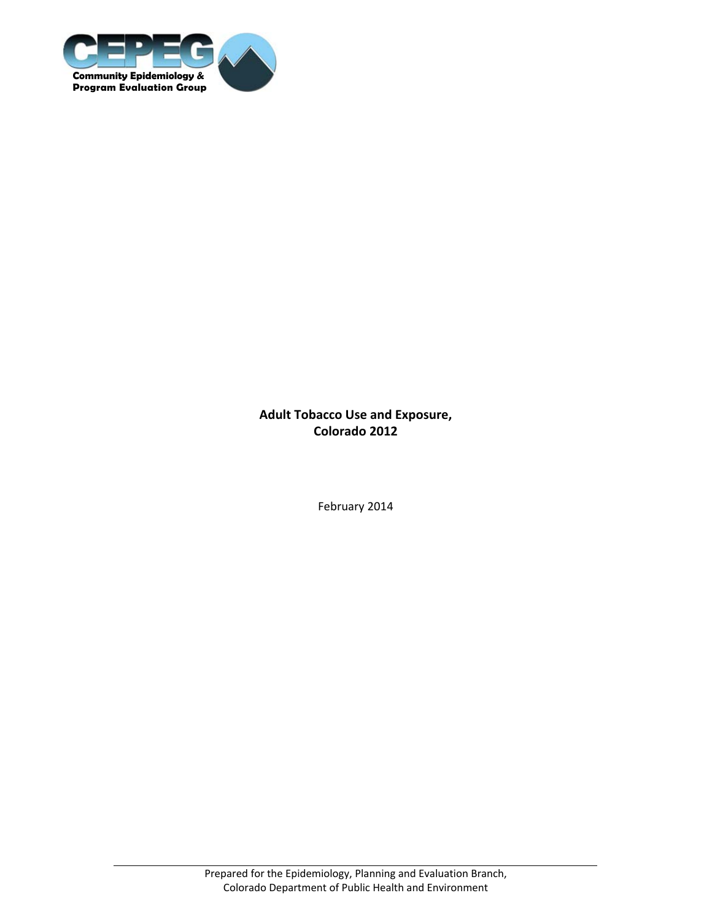

**Adult Tobacco Use and Exposure, Colorado 2012**

February 2014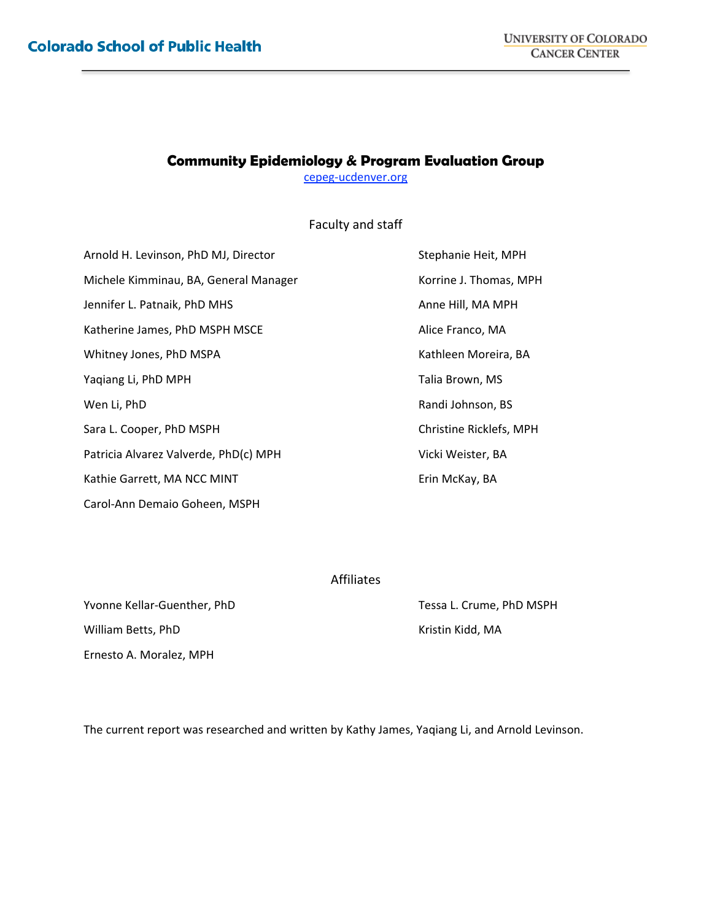## **Community Epidemiology & Program Evaluation Group**

cepeg‐ucdenver.org

Faculty and staff

Arnold H. Levinson, PhD MJ, Director Michele Kimminau, BA, General Manager Jennifer L. Patnaik, PhD MHS Katherine James, PhD MSPH MSCE Whitney Jones, PhD MSPA Yaqiang Li, PhD MPH Wen Li, PhD Sara L. Cooper, PhD MSPH Patricia Alvarez Valverde, PhD(c) MPH Kathie Garrett, MA NCC MINT Carol‐Ann Demaio Goheen, MSPH

Stephanie Heit, MPH Korrine J. Thomas, MPH Anne Hill, MA MPH Alice Franco, MA Kathleen Moreira, BA Talia Brown, MS Randi Johnson, BS Christine Ricklefs, MPH Vicki Weister, BA Erin McKay, BA

Affiliates

Yvonne Kellar‐Guenther, PhD William Betts, PhD Ernesto A. Moralez, MPH

Tessa L. Crume, PhD MSPH Kristin Kidd, MA

The current report was researched and written by Kathy James, Yaqiang Li, and Arnold Levinson.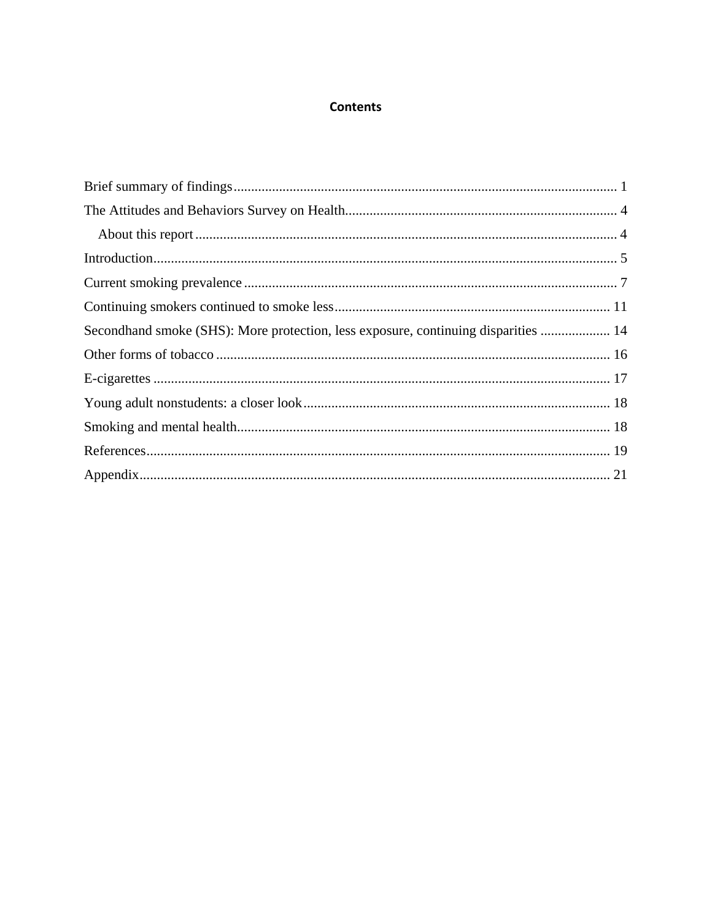# **Contents**

| Secondhand smoke (SHS): More protection, less exposure, continuing disparities  14 |  |
|------------------------------------------------------------------------------------|--|
|                                                                                    |  |
|                                                                                    |  |
|                                                                                    |  |
|                                                                                    |  |
|                                                                                    |  |
|                                                                                    |  |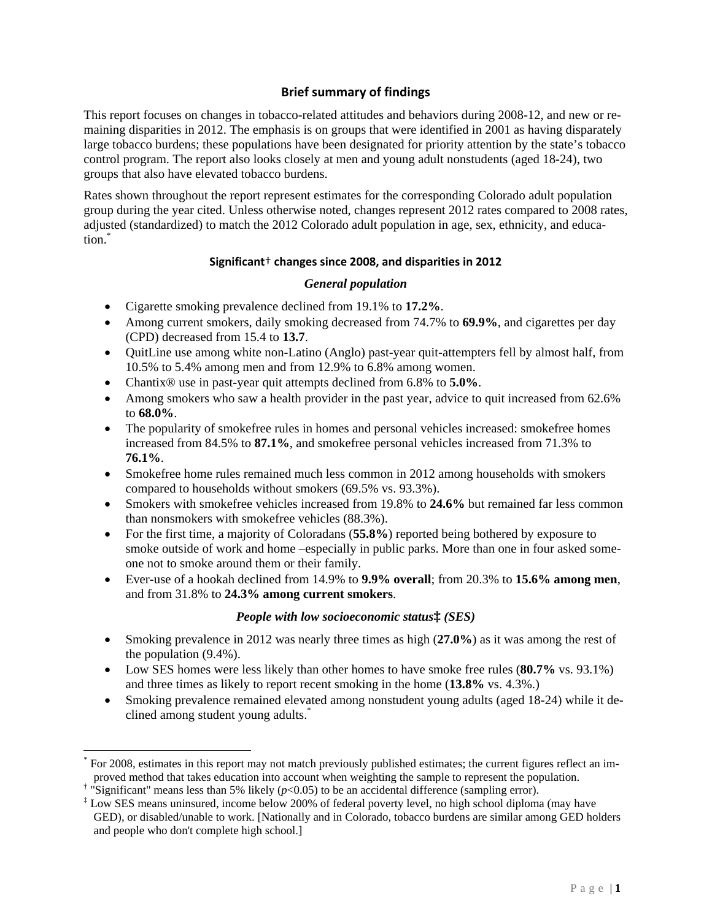## **Brief summary of findings**

This report focuses on changes in tobacco-related attitudes and behaviors during 2008-12, and new or remaining disparities in 2012. The emphasis is on groups that were identified in 2001 as having disparately large tobacco burdens; these populations have been designated for priority attention by the state's tobacco control program. The report also looks closely at men and young adult nonstudents (aged 18-24), two groups that also have elevated tobacco burdens.

Rates shown throughout the report represent estimates for the corresponding Colorado adult population group during the year cited. Unless otherwise noted, changes represent 2012 rates compared to 2008 rates, adjusted (standardized) to match the 2012 Colorado adult population in age, sex, ethnicity, and education.\*

### **Significant**† **changes since 2008, and disparities in 2012**

## *General population*

- Cigarette smoking prevalence declined from 19.1% to **17.2%**.
- Among current smokers, daily smoking decreased from 74.7% to **69.9%**, and cigarettes per day (CPD) decreased from 15.4 to **13.7**.
- QuitLine use among white non-Latino (Anglo) past-year quit-attempters fell by almost half, from 10.5% to 5.4% among men and from 12.9% to 6.8% among women.
- Chantix® use in past-year quit attempts declined from 6.8% to **5.0%**.
- Among smokers who saw a health provider in the past year, advice to quit increased from 62.6% to **68.0%**.
- The popularity of smokefree rules in homes and personal vehicles increased: smokefree homes increased from 84.5% to **87.1%**, and smokefree personal vehicles increased from 71.3% to **76.1%**.
- Smokefree home rules remained much less common in 2012 among households with smokers compared to households without smokers (69.5% vs. 93.3%).
- Smokers with smokefree vehicles increased from 19.8% to **24.6%** but remained far less common than nonsmokers with smokefree vehicles (88.3%).
- For the first time, a majority of Coloradans (55.8%) reported being bothered by exposure to smoke outside of work and home –especially in public parks. More than one in four asked someone not to smoke around them or their family.
- Ever-use of a hookah declined from 14.9% to **9.9% overall**; from 20.3% to **15.6% among men**, and from 31.8% to **24.3% among current smokers**.

## *People with low socioeconomic status***‡** *(SES)*

- Smoking prevalence in 2012 was nearly three times as high (**27.0%**) as it was among the rest of the population (9.4%).
- Low SES homes were less likely than other homes to have smoke free rules (**80.7%** vs. 93.1%) and three times as likely to report recent smoking in the home (**13.8%** vs. 4.3%.)
- Smoking prevalence remained elevated among nonstudent young adults (aged 18-24) while it declined among student young adults.\*

<sup>\*</sup> For 2008, estimates in this report may not match previously published estimates; the current figures reflect an improved method that takes education into account when weighting the sample to represent the population.

<sup>&</sup>lt;sup>†</sup> "Significant" means less than 5% likely  $(p<0.05)$  to be an accidental difference (sampling error).

<sup>‡</sup> Low SES means uninsured, income below 200% of federal poverty level, no high school diploma (may have GED), or disabled/unable to work. [Nationally and in Colorado, tobacco burdens are similar among GED holders and people who don't complete high school.]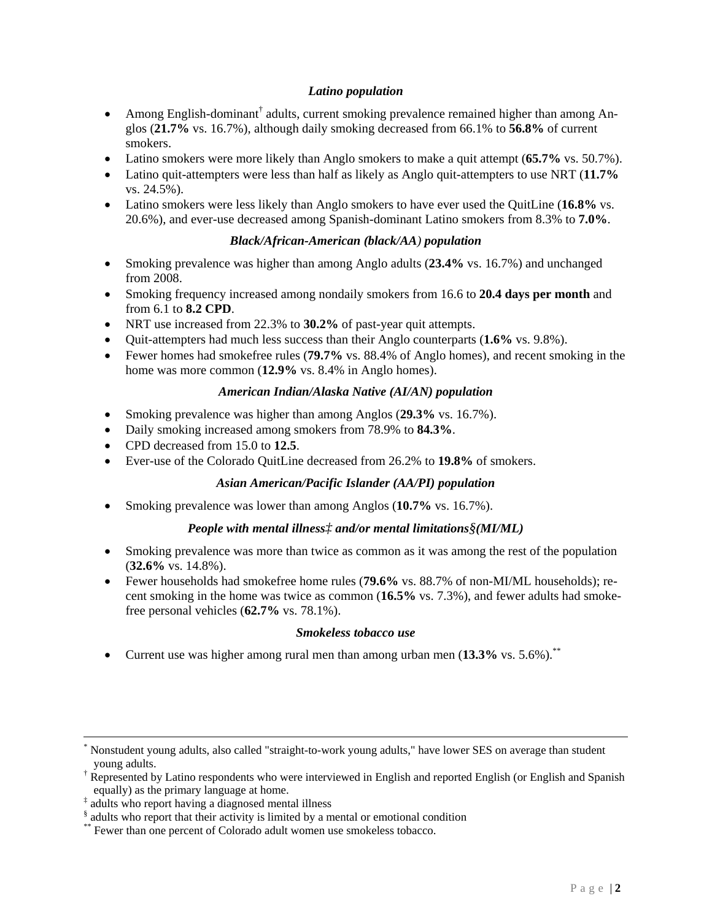## *Latino population*

- Among English-dominant<sup>†</sup> adults, current smoking prevalence remained higher than among Anglos (**21.7%** vs. 16.7%), although daily smoking decreased from 66.1% to **56.8%** of current smokers.
- Latino smokers were more likely than Anglo smokers to make a quit attempt (**65.7%** vs. 50.7%).
- Latino quit-attempters were less than half as likely as Anglo quit-attempters to use NRT (**11.7%** vs. 24.5%).
- Latino smokers were less likely than Anglo smokers to have ever used the QuitLine (**16.8%** vs. 20.6%), and ever-use decreased among Spanish-dominant Latino smokers from 8.3% to **7.0%**.

#### *Black/African-American (black/AA) population*

- Smoking prevalence was higher than among Anglo adults (**23.4%** vs. 16.7%) and unchanged from 2008.
- Smoking frequency increased among nondaily smokers from 16.6 to **20.4 days per month** and from 6.1 to **8.2 CPD**.
- NRT use increased from 22.3% to **30.2%** of past-year quit attempts.
- Quit-attempters had much less success than their Anglo counterparts (**1.6%** vs. 9.8%).
- Fewer homes had smokefree rules (**79.7%** vs. 88.4% of Anglo homes), and recent smoking in the home was more common (**12.9%** vs. 8.4% in Anglo homes).

#### *American Indian/Alaska Native (AI/AN) population*

- Smoking prevalence was higher than among Anglos (**29.3%** vs. 16.7%).
- Daily smoking increased among smokers from 78.9% to **84.3%**.
- CPD decreased from 15.0 to **12.5**.
- Ever-use of the Colorado QuitLine decreased from 26.2% to **19.8%** of smokers.

#### *Asian American/Pacific Islander (AA/PI) population*

Smoking prevalence was lower than among Anglos (**10.7%** vs. 16.7%).

#### *People with mental illness‡ and/or mental limitations§(MI/ML)*

- Smoking prevalence was more than twice as common as it was among the rest of the population (**32.6%** vs. 14.8%).
- Fewer households had smokefree home rules (**79.6%** vs. 88.7% of non-MI/ML households); recent smoking in the home was twice as common (**16.5%** vs. 7.3%), and fewer adults had smokefree personal vehicles (**62.7%** vs. 78.1%).

#### *Smokeless tobacco use*

Current use was higher among rural men than among urban men (**13.3%** vs. 5.6%).\*\*

 <sup>\*</sup> Nonstudent young adults, also called "straight-to-work young adults," have lower SES on average than student young adults.

<sup>†</sup> Represented by Latino respondents who were interviewed in English and reported English (or English and Spanish equally) as the primary language at home.

<sup>‡</sup> adults who report having a diagnosed mental illness

<sup>\$</sup> adults who report that their activity is limited by a mental or emotional condition

<sup>\*\*</sup> Fewer than one percent of Colorado adult women use smokeless tobacco.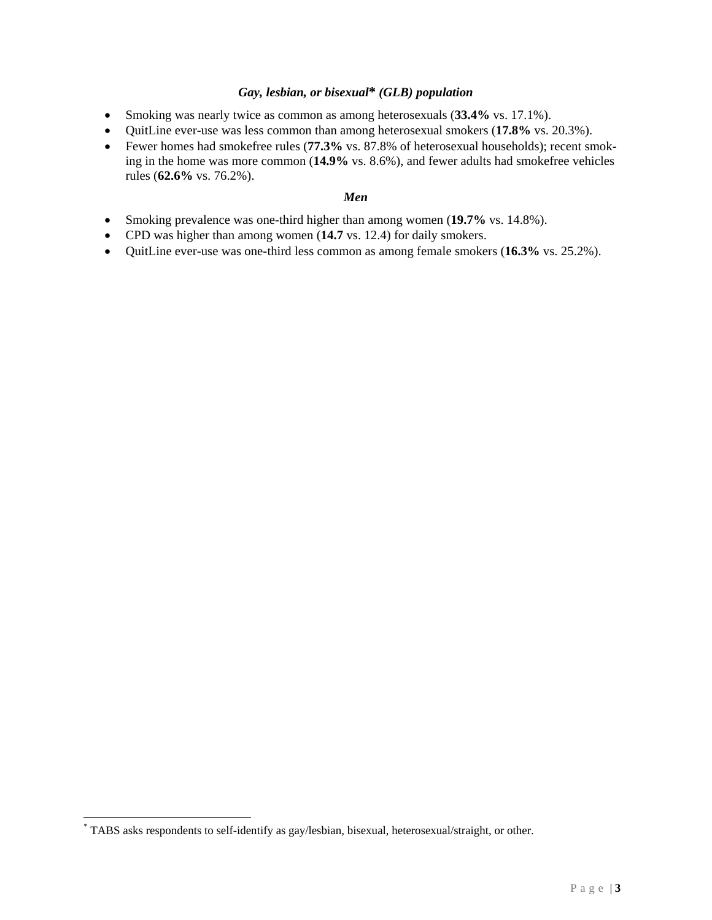## *Gay, lesbian, or bisexual***\*** *(GLB) population*

- Smoking was nearly twice as common as among heterosexuals (**33.4%** vs. 17.1%).
- QuitLine ever-use was less common than among heterosexual smokers (**17.8%** vs. 20.3%).
- Fewer homes had smokefree rules (**77.3%** vs. 87.8% of heterosexual households); recent smoking in the home was more common (**14.9%** vs. 8.6%), and fewer adults had smokefree vehicles rules (**62.6%** vs. 76.2%).

## *Men*

- Smoking prevalence was one-third higher than among women (**19.7%** vs. 14.8%).
- CPD was higher than among women (**14.7** vs. 12.4) for daily smokers.
- QuitLine ever-use was one-third less common as among female smokers (**16.3%** vs. 25.2%).

<sup>\*</sup> TABS asks respondents to self-identify as gay/lesbian, bisexual, heterosexual/straight, or other.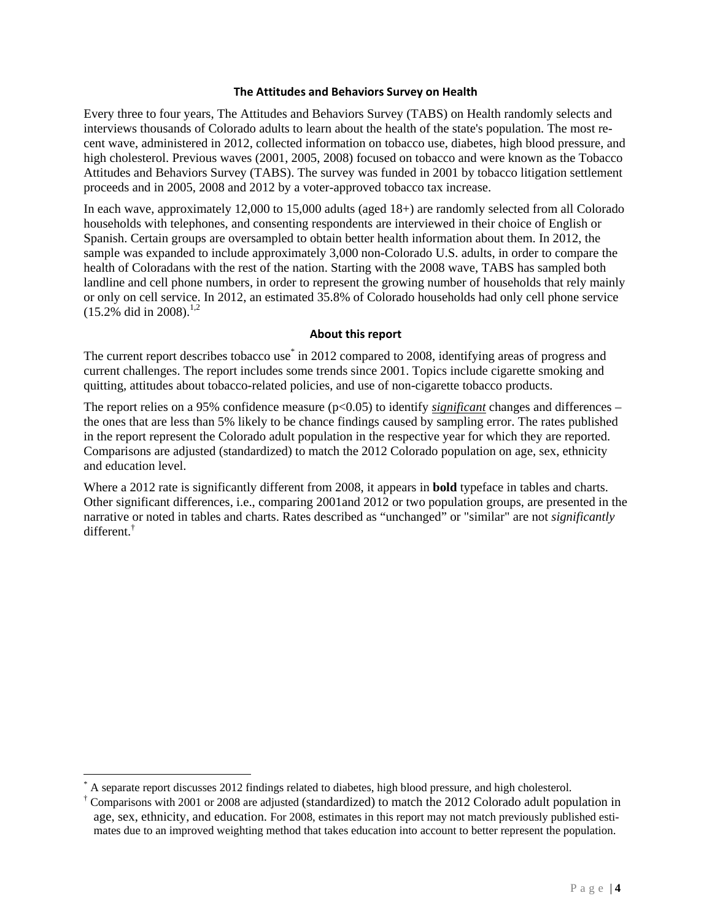#### **The Attitudes and Behaviors Survey on Health**

Every three to four years, The Attitudes and Behaviors Survey (TABS) on Health randomly selects and interviews thousands of Colorado adults to learn about the health of the state's population. The most recent wave, administered in 2012, collected information on tobacco use, diabetes, high blood pressure, and high cholesterol. Previous waves (2001, 2005, 2008) focused on tobacco and were known as the Tobacco Attitudes and Behaviors Survey (TABS). The survey was funded in 2001 by tobacco litigation settlement proceeds and in 2005, 2008 and 2012 by a voter-approved tobacco tax increase.

In each wave, approximately 12,000 to 15,000 adults (aged 18+) are randomly selected from all Colorado households with telephones, and consenting respondents are interviewed in their choice of English or Spanish. Certain groups are oversampled to obtain better health information about them. In 2012, the sample was expanded to include approximately 3,000 non-Colorado U.S. adults, in order to compare the health of Coloradans with the rest of the nation. Starting with the 2008 wave, TABS has sampled both landline and cell phone numbers, in order to represent the growing number of households that rely mainly or only on cell service. In 2012, an estimated 35.8% of Colorado households had only cell phone service  $(15.2\%$  did in 2008).<sup>1,2</sup>

#### **About this report**

The current report describes tobacco use<sup>\*</sup> in 2012 compared to 2008, identifying areas of progress and current challenges. The report includes some trends since 2001. Topics include cigarette smoking and quitting, attitudes about tobacco-related policies, and use of non-cigarette tobacco products.

The report relies on a 95% confidence measure ( $p<0.05$ ) to identify *significant* changes and differences – the ones that are less than 5% likely to be chance findings caused by sampling error. The rates published in the report represent the Colorado adult population in the respective year for which they are reported. Comparisons are adjusted (standardized) to match the 2012 Colorado population on age, sex, ethnicity and education level.

Where a 2012 rate is significantly different from 2008, it appears in **bold** typeface in tables and charts. Other significant differences, i.e., comparing 2001and 2012 or two population groups, are presented in the narrative or noted in tables and charts. Rates described as "unchanged" or "similar" are not *significantly* different.†

<sup>\*</sup> A separate report discusses 2012 findings related to diabetes, high blood pressure, and high cholesterol.

<sup>†</sup> Comparisons with 2001 or 2008 are adjusted (standardized) to match the 2012 Colorado adult population in age, sex, ethnicity, and education. For 2008, estimates in this report may not match previously published estimates due to an improved weighting method that takes education into account to better represent the population.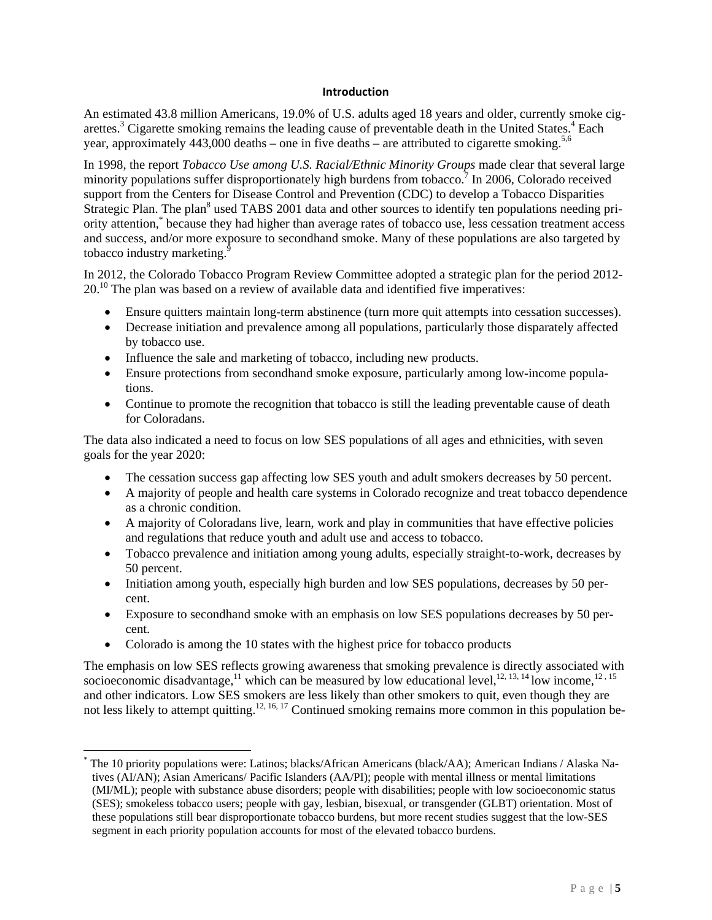#### **Introduction**

An estimated 43.8 million Americans, 19.0% of U.S. adults aged 18 years and older, currently smoke cigarettes.<sup>3</sup> Cigarette smoking remains the leading cause of preventable death in the United States.<sup>4</sup> Each year, approximately  $443,000$  deaths – one in five deaths – are attributed to cigarette smoking.<sup>5,6</sup>

In 1998, the report *Tobacco Use among U.S. Racial/Ethnic Minority Groups* made clear that several large minority populations suffer disproportionately high burdens from tobacco.<sup>7</sup> In 2006, Colorado received support from the Centers for Disease Control and Prevention (CDC) to develop a Tobacco Disparities Strategic Plan. The plan<sup>8</sup> used TABS 2001 data and other sources to identify ten populations needing priority attention,\* because they had higher than average rates of tobacco use, less cessation treatment access and success, and/or more exposure to secondhand smoke. Many of these populations are also targeted by tobacco industry marketing.<sup>9</sup>

In 2012, the Colorado Tobacco Program Review Committee adopted a strategic plan for the period 2012-  $20<sup>10</sup>$  The plan was based on a review of available data and identified five imperatives:

- Ensure quitters maintain long-term abstinence (turn more quit attempts into cessation successes).
- Decrease initiation and prevalence among all populations, particularly those disparately affected by tobacco use.
- Influence the sale and marketing of tobacco, including new products.
- Ensure protections from secondhand smoke exposure, particularly among low-income populations.
- Continue to promote the recognition that tobacco is still the leading preventable cause of death for Coloradans.

The data also indicated a need to focus on low SES populations of all ages and ethnicities, with seven goals for the year 2020:

- The cessation success gap affecting low SES youth and adult smokers decreases by 50 percent.
- A majority of people and health care systems in Colorado recognize and treat tobacco dependence as a chronic condition.
- A majority of Coloradans live, learn, work and play in communities that have effective policies and regulations that reduce youth and adult use and access to tobacco.
- Tobacco prevalence and initiation among young adults, especially straight-to-work, decreases by 50 percent.
- Initiation among youth, especially high burden and low SES populations, decreases by 50 percent.
- Exposure to secondhand smoke with an emphasis on low SES populations decreases by 50 percent.
- Colorado is among the 10 states with the highest price for tobacco products

 $\overline{a}$ 

The emphasis on low SES reflects growing awareness that smoking prevalence is directly associated with socioeconomic disadvantage,<sup>11</sup> which can be measured by low educational level,<sup>12, 13, 14</sup> low income,<sup>12, 15</sup> and other indicators. Low SES smokers are less likely than other smokers to quit, even though they are not less likely to attempt quitting.<sup>12, 16, 17</sup> Continued smoking remains more common in this population be-

<sup>\*</sup> The 10 priority populations were: Latinos; blacks/African Americans (black/AA); American Indians / Alaska Natives (AI/AN); Asian Americans/ Pacific Islanders (AA/PI); people with mental illness or mental limitations (MI/ML); people with substance abuse disorders; people with disabilities; people with low socioeconomic status (SES); smokeless tobacco users; people with gay, lesbian, bisexual, or transgender (GLBT) orientation. Most of these populations still bear disproportionate tobacco burdens, but more recent studies suggest that the low-SES segment in each priority population accounts for most of the elevated tobacco burdens.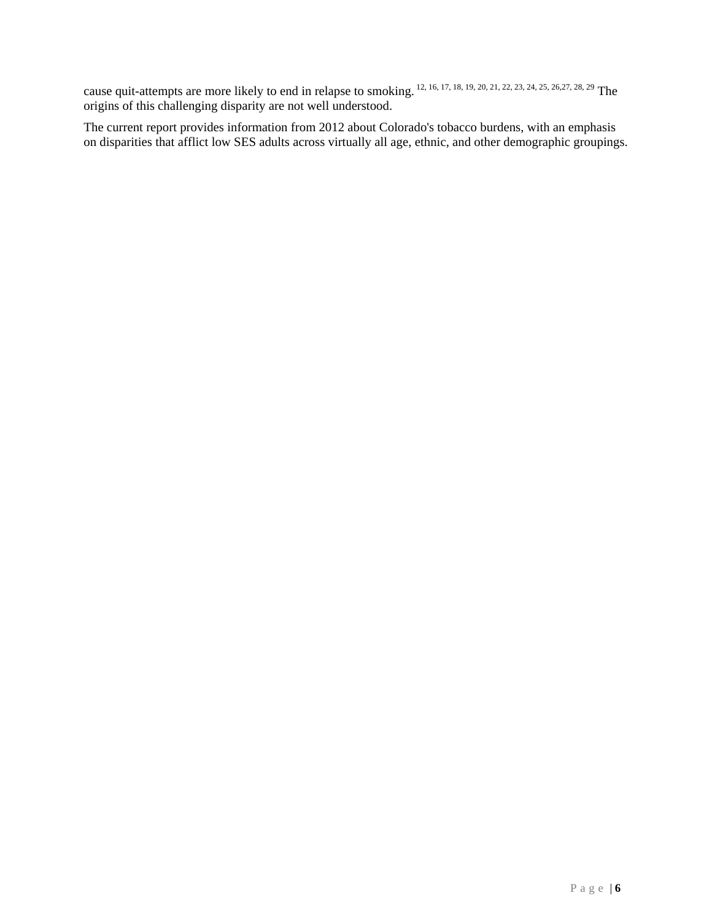cause quit-attempts are more likely to end in relapse to smoking. <sup>12, 16, 17, 18, 19, 20, 21, 22, 23, 24, 25, 26, 27, 28, 29 The</sup> origins of this challenging disparity are not well understood.

The current report provides information from 2012 about Colorado's tobacco burdens, with an emphasis on disparities that afflict low SES adults across virtually all age, ethnic, and other demographic groupings.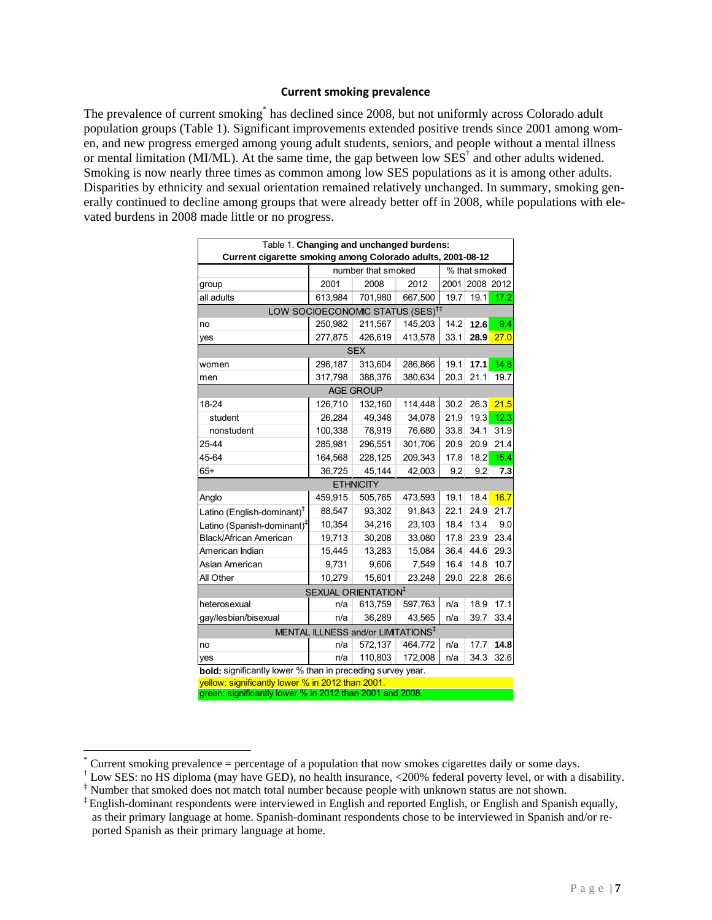#### **Current smoking prevalence**

The prevalence of current smoking<sup>\*</sup> has declined since 2008, but not uniformly across Colorado adult population groups (Table 1). Significant improvements extended positive trends since 2001 among women, and new progress emerged among young adult students, seniors, and people without a mental illness or mental limitation (MI/ML). At the same time, the gap between low  $SES^{\dagger}$  and other adults widened. Smoking is now nearly three times as common among low SES populations as it is among other adults. Disparities by ethnicity and sexual orientation remained relatively unchanged. In summary, smoking generally continued to decline among groups that were already better off in 2008, while populations with elevated burdens in 2008 made little or no progress.

| Table 1. Changing and unchanged burdens:<br>Current cigarette smoking among Colorado adults, 2001-08-12 |                                                |                    |         |      |                |      |  |  |  |  |  |
|---------------------------------------------------------------------------------------------------------|------------------------------------------------|--------------------|---------|------|----------------|------|--|--|--|--|--|
|                                                                                                         |                                                | number that smoked |         |      | % that smoked  |      |  |  |  |  |  |
| group                                                                                                   | 2001                                           | 2008               | 2012    |      | 2001 2008 2012 |      |  |  |  |  |  |
| all adults                                                                                              | 613,984                                        | 701,980            | 667,500 | 19.7 | 19.1           | 17.2 |  |  |  |  |  |
| LOW SOCIOECONOMIC STATUS (SES) <sup>1‡</sup>                                                            |                                                |                    |         |      |                |      |  |  |  |  |  |
| no                                                                                                      | 250,982                                        | 211,567            | 145,203 | 14.2 | 12.6           | 9.4  |  |  |  |  |  |
| yes                                                                                                     | 277,875                                        | 426,619            | 413,578 | 33.1 | 28.9           | 27.0 |  |  |  |  |  |
| <b>SEX</b>                                                                                              |                                                |                    |         |      |                |      |  |  |  |  |  |
| women                                                                                                   | 296,187                                        | 313,604            | 286,866 | 19.1 | 17.1           | 14.8 |  |  |  |  |  |
| men                                                                                                     | 317,798                                        | 388,376            | 380,634 | 20.3 | 21.1           | 19.7 |  |  |  |  |  |
|                                                                                                         |                                                | <b>AGE GROUP</b>   |         |      |                |      |  |  |  |  |  |
| 18-24                                                                                                   | 126,710                                        | 132,160            | 114,448 | 30.2 | 26.3           | 21.5 |  |  |  |  |  |
| student                                                                                                 | 26,284                                         | 49,348             | 34,078  | 21.9 | 19.3           | 12.3 |  |  |  |  |  |
| nonstudent                                                                                              | 100,338                                        | 78.919             | 76,680  | 33.8 | 34.1           | 31.9 |  |  |  |  |  |
| 25-44                                                                                                   | 285,981                                        | 296,551            | 301,706 | 20.9 | 20.9           | 21.4 |  |  |  |  |  |
| 45-64                                                                                                   | 164,568                                        | 228,125            | 209,343 | 17.8 | 18.2           | 15.4 |  |  |  |  |  |
| 65+                                                                                                     | 36,725                                         | 45,144             | 42,003  | 9.2  | 9.2            | 7.3  |  |  |  |  |  |
|                                                                                                         |                                                | <b>ETHNICITY</b>   |         |      |                |      |  |  |  |  |  |
| Anglo                                                                                                   | 459,915                                        | 505,765            | 473,593 | 19.1 | 18.4           | 16.7 |  |  |  |  |  |
| Latino (English-dominant) <sup>‡</sup>                                                                  | 88,547                                         | 93,302             | 91,843  | 22.1 | 24.9           | 21.7 |  |  |  |  |  |
| Latino (Spanish-dominant) <sup>‡</sup>                                                                  | 10,354                                         | 34,216             | 23,103  | 18.4 | 13.4           | 9.0  |  |  |  |  |  |
| Black/African American                                                                                  | 19,713                                         | 30,208             | 33,080  | 17.8 | 23.9           | 23.4 |  |  |  |  |  |
| American Indian                                                                                         | 15,445                                         | 13,283             | 15,084  | 36.4 | 44.6           | 29.3 |  |  |  |  |  |
| Asian American                                                                                          | 9,731                                          | 9,606              | 7,549   | 16.4 | 14.8           | 10.7 |  |  |  |  |  |
| All Other                                                                                               | 10.279                                         | 15,601             | 23,248  | 29.0 | 22.8           | 26.6 |  |  |  |  |  |
|                                                                                                         | SEXUAL ORIENTATION <sup>‡</sup>                |                    |         |      |                |      |  |  |  |  |  |
| heterosexual                                                                                            | n/a                                            | 613,759            | 597,763 | n/a  | 18.9           | 17.1 |  |  |  |  |  |
| gay/lesbian/bisexual                                                                                    | n/a                                            | 36,289             | 43,565  | n/a  | 39.7           | 33.4 |  |  |  |  |  |
|                                                                                                         | MENTAL ILLNESS and/or LIMITATIONS <sup>‡</sup> |                    |         |      |                |      |  |  |  |  |  |
| no                                                                                                      | n/a                                            | 572,137            | 464,772 | n/a  | 17.7           | 14.8 |  |  |  |  |  |
| yes                                                                                                     | n/a                                            | 110,803            | 172,008 | n/a  | 34.3           | 32.6 |  |  |  |  |  |
| <b>bold:</b> significantly lower % than in preceding survey year.                                       |                                                |                    |         |      |                |      |  |  |  |  |  |
| yellow: significantly lower % in 2012 than 2001.                                                        |                                                |                    |         |      |                |      |  |  |  |  |  |
| green: significantly lower % in 2012 than 2001 and 2008.                                                |                                                |                    |         |      |                |      |  |  |  |  |  |

<sup>\*</sup> Current smoking prevalence = percentage of a population that now smokes cigarettes daily or some days.

<sup>†</sup> Low SES: no HS diploma (may have GED), no health insurance, <200% federal poverty level, or with a disability.

<sup>‡</sup> Number that smoked does not match total number because people with unknown status are not shown.

<sup>‡</sup> English-dominant respondents were interviewed in English and reported English, or English and Spanish equally, as their primary language at home. Spanish-dominant respondents chose to be interviewed in Spanish and/or reported Spanish as their primary language at home.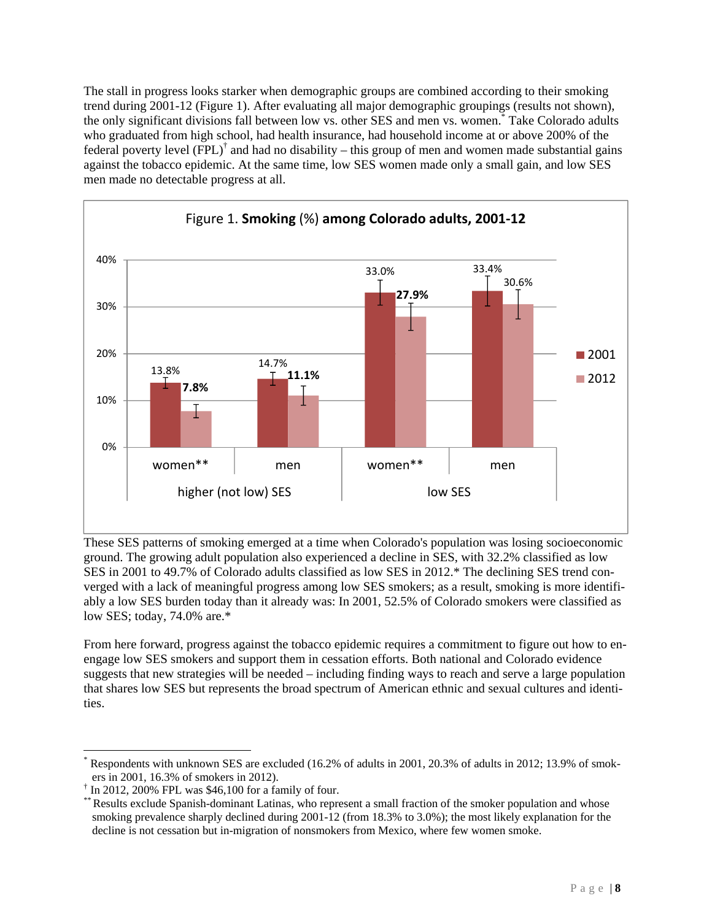The stall in progress looks starker when demographic groups are combined according to their smoking trend during 2001-12 (Figure 1). After evaluating all major demographic groupings (results not shown), the only significant divisions fall between low vs. other SES and men vs. women.\* Take Colorado adults who graduated from high school, had health insurance, had household income at or above 200% of the federal poverty level  $(FPL)^{\dagger}$  and had no disability – this group of men and women made substantial gains against the tobacco epidemic. At the same time, low SES women made only a small gain, and low SES men made no detectable progress at all.



These SES patterns of smoking emerged at a time when Colorado's population was losing socioeconomic ground. The growing adult population also experienced a decline in SES, with 32.2% classified as low SES in 2001 to 49.7% of Colorado adults classified as low SES in 2012.\* The declining SES trend converged with a lack of meaningful progress among low SES smokers; as a result, smoking is more identifiably a low SES burden today than it already was: In 2001, 52.5% of Colorado smokers were classified as low SES; today, 74.0% are.\*

From here forward, progress against the tobacco epidemic requires a commitment to figure out how to enengage low SES smokers and support them in cessation efforts. Both national and Colorado evidence suggests that new strategies will be needed – including finding ways to reach and serve a large population that shares low SES but represents the broad spectrum of American ethnic and sexual cultures and identities.

<sup>\*</sup> Respondents with unknown SES are excluded (16.2% of adults in 2001, 20.3% of adults in 2012; 13.9% of smokers in 2001, 16.3% of smokers in 2012).

<sup>†</sup> In 2012, 200% FPL was \$46,100 for a family of four.

Results exclude Spanish-dominant Latinas, who represent a small fraction of the smoker population and whose smoking prevalence sharply declined during 2001-12 (from 18.3% to 3.0%); the most likely explanation for the decline is not cessation but in-migration of nonsmokers from Mexico, where few women smoke.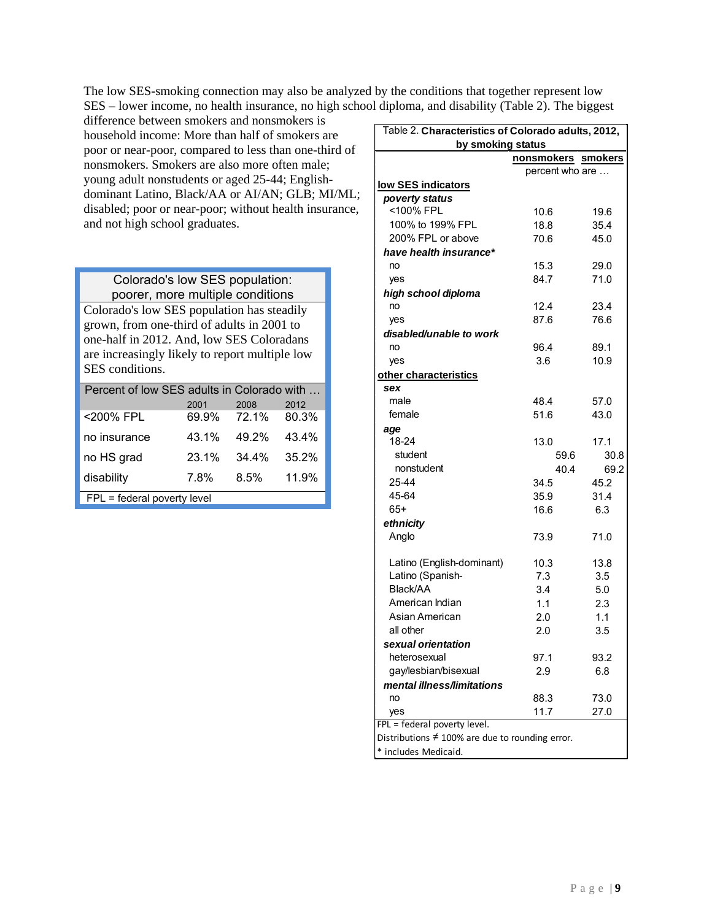The low SES-smoking connection may also be analyzed by the conditions that together represent low SES – lower income, no health insurance, no high school diploma, and disability (Table 2). The biggest

difference between smokers and nonsmokers is household income: More than half of smokers are poor or near-poor, compared to less than one-third of nonsmokers. Smokers are also more often male; young adult nonstudents or aged 25-44; Englishdominant Latino, Black/AA or AI/AN; GLB; MI/ML; disabled; poor or near-poor; without health insurance, and not high school graduates.

Colorado's low SES population: poorer, more multiple conditions

Colorado's low SES population has steadily grown, from one-third of adults in 2001 to one-half in 2012. And, low SES Coloradans are increasingly likely to report multiple low SES conditions.

| Percent of low SES adults in Colorado with |             |          |       |
|--------------------------------------------|-------------|----------|-------|
|                                            | 2001        | 2008     | 2012  |
| <200% FPL                                  | 69.9% 72.1% |          | 80.3% |
| no insurance                               | 43.1%       | 49.2%    | 43.4% |
| no HS grad                                 | 23.1%       | $34.4\%$ | 35.2% |
| disability                                 | 7.8%        | 8.5%     | 11.9% |
| FPL = federal poverty level                |             |          |       |

| Table 2. Characteristics of Colorado adults, 2012,   |                    |      |  |  |  |  |  |  |  |
|------------------------------------------------------|--------------------|------|--|--|--|--|--|--|--|
|                                                      | by smoking status  |      |  |  |  |  |  |  |  |
|                                                      | nonsmokers smokers |      |  |  |  |  |  |  |  |
|                                                      | percent who are    |      |  |  |  |  |  |  |  |
| low SES indicators                                   |                    |      |  |  |  |  |  |  |  |
| poverty status                                       |                    |      |  |  |  |  |  |  |  |
| <100% FPL                                            | 10.6               | 19.6 |  |  |  |  |  |  |  |
| 100% to 199% FPL                                     | 18.8               | 35.4 |  |  |  |  |  |  |  |
| 200% FPL or above                                    | 70.6               | 45.0 |  |  |  |  |  |  |  |
| have health insurance*                               |                    |      |  |  |  |  |  |  |  |
| no                                                   | 15.3               | 29.0 |  |  |  |  |  |  |  |
| yes                                                  | 84.7               | 71.0 |  |  |  |  |  |  |  |
| high school diploma                                  |                    |      |  |  |  |  |  |  |  |
| no                                                   | 12.4               | 23.4 |  |  |  |  |  |  |  |
| yes                                                  | 87.6               | 76.6 |  |  |  |  |  |  |  |
| disabled/unable to work                              |                    |      |  |  |  |  |  |  |  |
| no                                                   | 96.4               | 89.1 |  |  |  |  |  |  |  |
| yes                                                  | 3.6                | 10.9 |  |  |  |  |  |  |  |
| other characteristics                                |                    |      |  |  |  |  |  |  |  |
| sex                                                  |                    |      |  |  |  |  |  |  |  |
| male                                                 | 48.4               | 57.0 |  |  |  |  |  |  |  |
| female                                               | 51.6               | 43.0 |  |  |  |  |  |  |  |
| age                                                  |                    |      |  |  |  |  |  |  |  |
| 18-24                                                | 13.0               | 17.1 |  |  |  |  |  |  |  |
| student                                              | 59.6               | 30.8 |  |  |  |  |  |  |  |
| nonstudent                                           | 40.4               | 69.2 |  |  |  |  |  |  |  |
| 25-44                                                | 34.5               | 45.2 |  |  |  |  |  |  |  |
| 45-64                                                | 35.9               | 31.4 |  |  |  |  |  |  |  |
| 65+                                                  | 16.6               | 6.3  |  |  |  |  |  |  |  |
| ethnicity                                            |                    |      |  |  |  |  |  |  |  |
| Anglo                                                | 73.9               | 71.0 |  |  |  |  |  |  |  |
|                                                      |                    |      |  |  |  |  |  |  |  |
| Latino (English-dominant)                            | 10.3               | 13.8 |  |  |  |  |  |  |  |
| Latino (Spanish-                                     | 7.3                | 3.5  |  |  |  |  |  |  |  |
| Black/AA                                             | 3.4                | 5.0  |  |  |  |  |  |  |  |
| American Indian                                      | 1.1                | 2.3  |  |  |  |  |  |  |  |
| Asian American                                       | 2.0                | 1.1  |  |  |  |  |  |  |  |
| all other                                            | 2.0                | 3.5  |  |  |  |  |  |  |  |
| sexual orientation                                   |                    |      |  |  |  |  |  |  |  |
| heterosexual                                         | 97.1               | 93.2 |  |  |  |  |  |  |  |
| gay/lesbian/bisexual                                 | 2.9                | 6.8  |  |  |  |  |  |  |  |
| mental illness/limitations                           |                    |      |  |  |  |  |  |  |  |
| no                                                   | 88.3               | 73.0 |  |  |  |  |  |  |  |
| yes                                                  | 11.7               | 27.0 |  |  |  |  |  |  |  |
| FPL = federal poverty level.                         |                    |      |  |  |  |  |  |  |  |
| Distributions $\neq$ 100% are due to rounding error. |                    |      |  |  |  |  |  |  |  |
| * includes Medicaid.                                 |                    |      |  |  |  |  |  |  |  |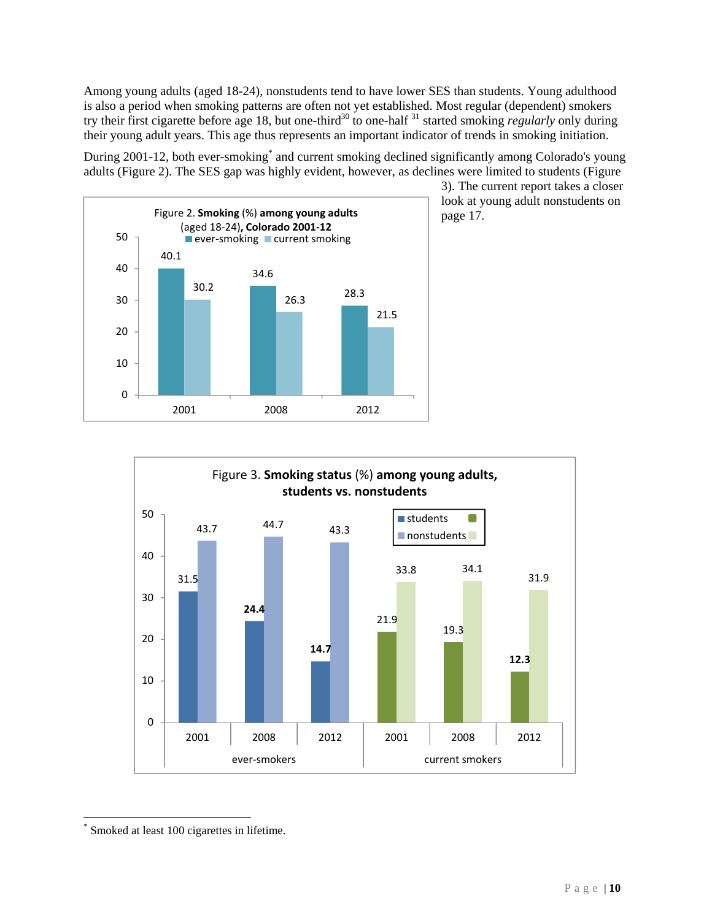Among young adults (aged 18-24), nonstudents tend to have lower SES than students. Young adulthood is also a period when smoking patterns are often not yet established. Most regular (dependent) smokers try their first cigarette before age 18, but one-third<sup>30</sup> to one-half <sup>31</sup> started smoking *regularly* only during their young adult years. This age thus represents an important indicator of trends in smoking initiation.

During 2001-12, both ever-smoking<sup>\*</sup> and current smoking declined significantly among Colorado's young adults (Figure 2). The SES gap was highly evident, however, as declines were limited to students (Figure



3). The current report takes a closer look at young adult nonstudents on page 17.



<sup>\*</sup> Smoked at least 100 cigarettes in lifetime.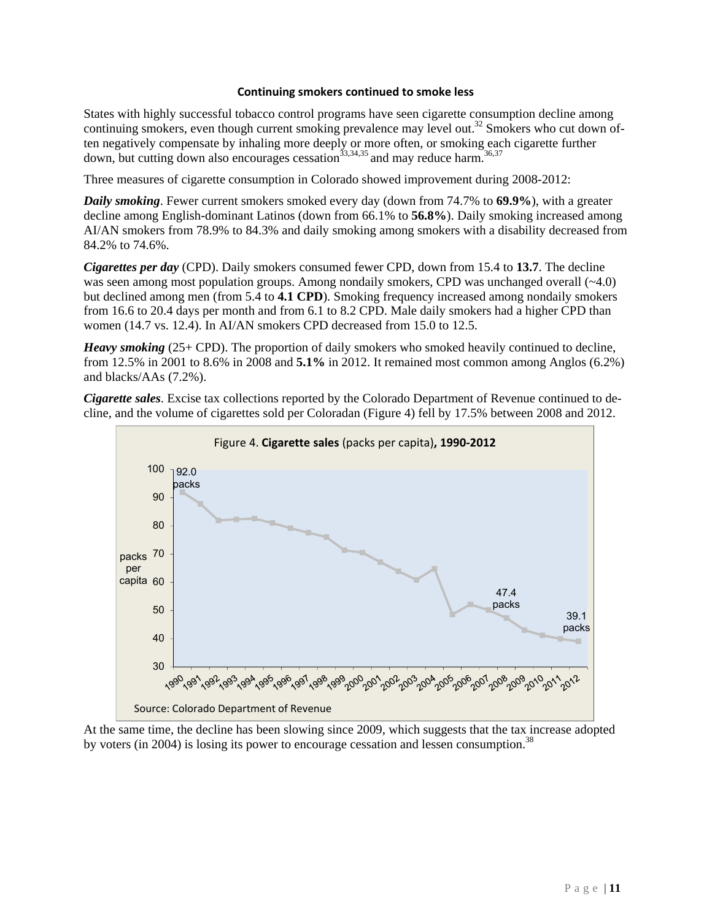#### **Continuing smokers continued to smoke less**

States with highly successful tobacco control programs have seen cigarette consumption decline among continuing smokers, even though current smoking prevalence may level out.<sup>32</sup> Smokers who cut down often negatively compensate by inhaling more deeply or more often, or smoking each cigarette further down, but cutting down also encourages cessation<sup>33,34,35</sup> and may reduce harm.<sup>36,37</sup>

Three measures of cigarette consumption in Colorado showed improvement during 2008-2012:

*Daily smoking*. Fewer current smokers smoked every day (down from 74.7% to **69.9%**), with a greater decline among English-dominant Latinos (down from 66.1% to **56.8%**). Daily smoking increased among AI/AN smokers from 78.9% to 84.3% and daily smoking among smokers with a disability decreased from 84.2% to 74.6%.

*Cigarettes per day* (CPD). Daily smokers consumed fewer CPD, down from 15.4 to **13.7**. The decline was seen among most population groups. Among nondaily smokers, CPD was unchanged overall  $(\sim4.0)$ but declined among men (from 5.4 to **4.1 CPD**). Smoking frequency increased among nondaily smokers from 16.6 to 20.4 days per month and from 6.1 to 8.2 CPD. Male daily smokers had a higher CPD than women (14.7 vs. 12.4). In AI/AN smokers CPD decreased from 15.0 to 12.5.

*Heavy smoking* (25+ CPD). The proportion of daily smokers who smoked heavily continued to decline, from 12.5% in 2001 to 8.6% in 2008 and **5.1%** in 2012. It remained most common among Anglos (6.2%) and blacks/AAs (7.2%).

*Cigarette sales*. Excise tax collections reported by the Colorado Department of Revenue continued to decline, and the volume of cigarettes sold per Coloradan (Figure 4) fell by 17.5% between 2008 and 2012.



At the same time, the decline has been slowing since 2009, which suggests that the tax increase adopted by voters (in 2004) is losing its power to encourage cessation and lessen consumption.<sup>38</sup>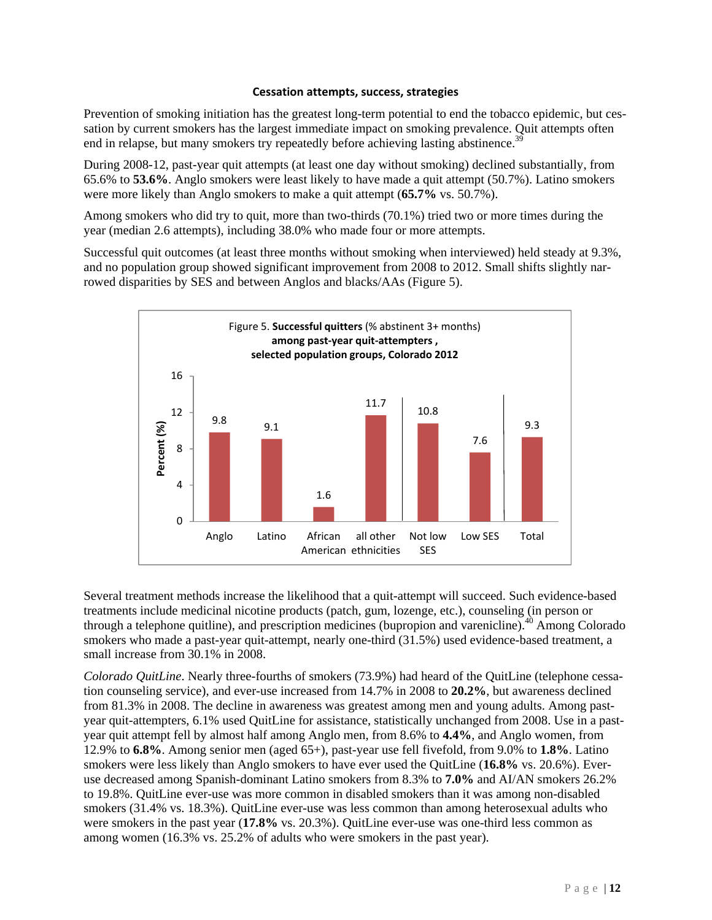#### **Cessation attempts, success, strategies**

Prevention of smoking initiation has the greatest long-term potential to end the tobacco epidemic, but cessation by current smokers has the largest immediate impact on smoking prevalence. Quit attempts often end in relapse, but many smokers try repeatedly before achieving lasting abstinence.<sup>39</sup>

During 2008-12, past-year quit attempts (at least one day without smoking) declined substantially, from 65.6% to **53.6%**. Anglo smokers were least likely to have made a quit attempt (50.7%). Latino smokers were more likely than Anglo smokers to make a quit attempt (**65.7%** vs. 50.7%).

Among smokers who did try to quit, more than two-thirds (70.1%) tried two or more times during the year (median 2.6 attempts), including 38.0% who made four or more attempts.

Successful quit outcomes (at least three months without smoking when interviewed) held steady at 9.3%, and no population group showed significant improvement from 2008 to 2012. Small shifts slightly narrowed disparities by SES and between Anglos and blacks/AAs (Figure 5).



Several treatment methods increase the likelihood that a quit-attempt will succeed. Such evidence-based treatments include medicinal nicotine products (patch, gum, lozenge, etc.), counseling (in person or through a telephone quitline), and prescription medicines (bupropion and varenicline).<sup>40</sup> Among Colorado smokers who made a past-year quit-attempt, nearly one-third (31.5%) used evidence-based treatment, a small increase from 30.1% in 2008.

*Colorado QuitLine*. Nearly three-fourths of smokers (73.9%) had heard of the QuitLine (telephone cessation counseling service), and ever-use increased from 14.7% in 2008 to **20.2%**, but awareness declined from 81.3% in 2008. The decline in awareness was greatest among men and young adults. Among pastyear quit-attempters, 6.1% used QuitLine for assistance, statistically unchanged from 2008. Use in a pastyear quit attempt fell by almost half among Anglo men, from 8.6% to **4.4%**, and Anglo women, from 12.9% to **6.8%**. Among senior men (aged 65+), past-year use fell fivefold, from 9.0% to **1.8%**. Latino smokers were less likely than Anglo smokers to have ever used the QuitLine (**16.8%** vs. 20.6%). Everuse decreased among Spanish-dominant Latino smokers from 8.3% to **7.0%** and AI/AN smokers 26.2% to 19.8%. QuitLine ever-use was more common in disabled smokers than it was among non-disabled smokers (31.4% vs. 18.3%). QuitLine ever-use was less common than among heterosexual adults who were smokers in the past year (**17.8%** vs. 20.3%). QuitLine ever-use was one-third less common as among women (16.3% vs. 25.2% of adults who were smokers in the past year).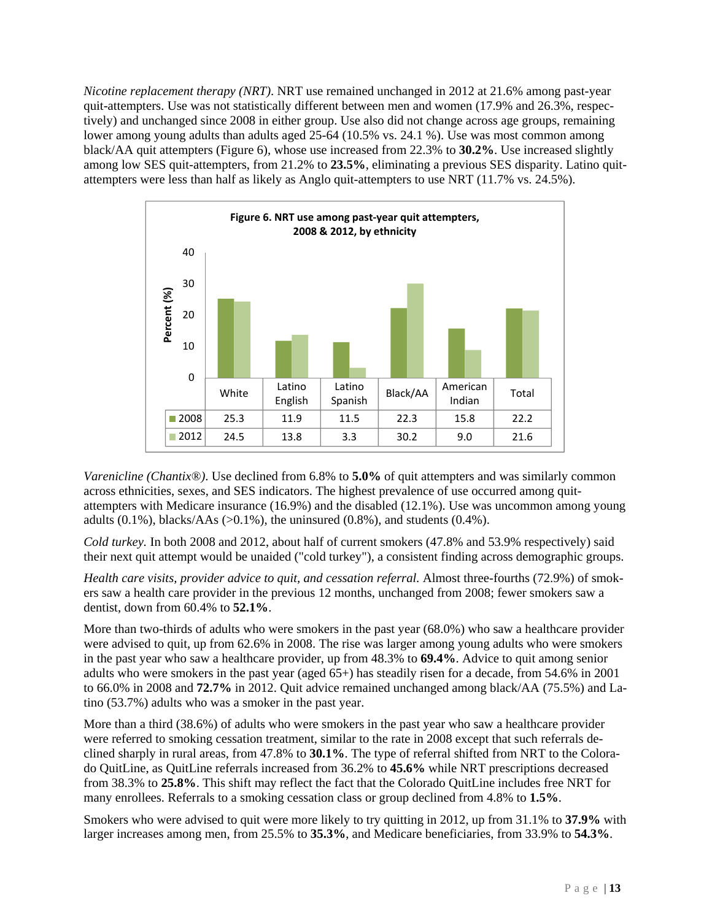*Nicotine replacement therapy (NRT)*. NRT use remained unchanged in 2012 at 21.6% among past-year quit-attempters. Use was not statistically different between men and women (17.9% and 26.3%, respectively) and unchanged since 2008 in either group. Use also did not change across age groups, remaining lower among young adults than adults aged 25-64 (10.5% vs. 24.1 %). Use was most common among black/AA quit attempters (Figure 6), whose use increased from 22.3% to **30.2%**. Use increased slightly among low SES quit-attempters, from 21.2% to **23.5%**, eliminating a previous SES disparity. Latino quitattempters were less than half as likely as Anglo quit-attempters to use NRT (11.7% vs. 24.5%).



*Varenicline (Chantix®)*. Use declined from 6.8% to **5.0%** of quit attempters and was similarly common across ethnicities, sexes, and SES indicators. The highest prevalence of use occurred among quitattempters with Medicare insurance (16.9%) and the disabled (12.1%). Use was uncommon among young adults  $(0.1\%)$ , blacks/AAs ( $>0.1\%$ ), the uninsured (0.8%), and students (0.4%).

*Cold turkey.* In both 2008 and 2012, about half of current smokers (47.8% and 53.9% respectively) said their next quit attempt would be unaided ("cold turkey"), a consistent finding across demographic groups.

*Health care visits, provider advice to quit, and cessation referral.* Almost three-fourths (72.9%) of smokers saw a health care provider in the previous 12 months, unchanged from 2008; fewer smokers saw a dentist, down from 60.4% to **52.1%**.

More than two-thirds of adults who were smokers in the past year (68.0%) who saw a healthcare provider were advised to quit, up from 62.6% in 2008. The rise was larger among young adults who were smokers in the past year who saw a healthcare provider, up from 48.3% to **69.4%**. Advice to quit among senior adults who were smokers in the past year (aged 65+) has steadily risen for a decade, from 54.6% in 2001 to 66.0% in 2008 and **72.7%** in 2012. Quit advice remained unchanged among black/AA (75.5%) and Latino (53.7%) adults who was a smoker in the past year.

More than a third (38.6%) of adults who were smokers in the past year who saw a healthcare provider were referred to smoking cessation treatment, similar to the rate in 2008 except that such referrals declined sharply in rural areas, from 47.8% to **30.1%**. The type of referral shifted from NRT to the Colorado QuitLine, as QuitLine referrals increased from 36.2% to **45.6%** while NRT prescriptions decreased from 38.3% to **25.8%**. This shift may reflect the fact that the Colorado QuitLine includes free NRT for many enrollees. Referrals to a smoking cessation class or group declined from 4.8% to **1.5%**.

Smokers who were advised to quit were more likely to try quitting in 2012, up from 31.1% to **37.9%** with larger increases among men, from 25.5% to **35.3%**, and Medicare beneficiaries, from 33.9% to **54.3%**.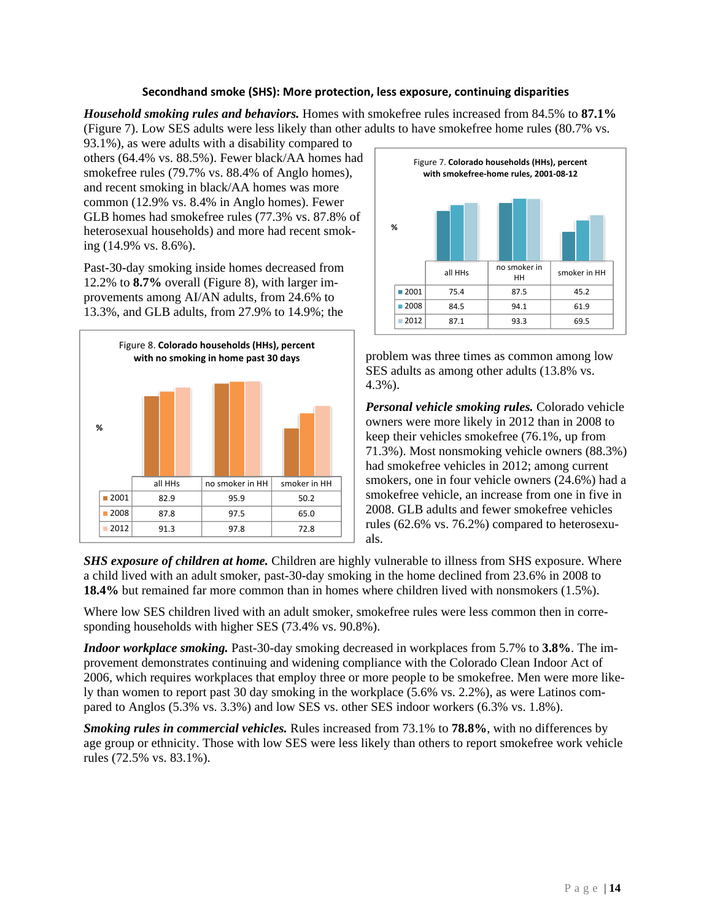### **Secondhand smoke (SHS): More protection, less exposure, continuing disparities**

*Household smoking rules and behaviors.* Homes with smokefree rules increased from 84.5% to **87.1%**  (Figure 7). Low SES adults were less likely than other adults to have smokefree home rules (80.7% vs.

93.1%), as were adults with a disability compared to others (64.4% vs. 88.5%). Fewer black/AA homes had smokefree rules (79.7% vs. 88.4% of Anglo homes), and recent smoking in black/AA homes was more common (12.9% vs. 8.4% in Anglo homes). Fewer GLB homes had smokefree rules (77.3% vs. 87.8% of heterosexual households) and more had recent smoking (14.9% vs. 8.6%).

Past-30-day smoking inside homes decreased from 12.2% to **8.7%** overall (Figure 8), with larger improvements among AI/AN adults, from 24.6% to 13.3%, and GLB adults, from 27.9% to 14.9%; the





problem was three times as common among low SES adults as among other adults (13.8% vs. 4.3%).

*Personal vehicle smoking rules.* Colorado vehicle owners were more likely in 2012 than in 2008 to keep their vehicles smokefree (76.1%, up from 71.3%). Most nonsmoking vehicle owners (88.3%) had smokefree vehicles in 2012; among current smokers, one in four vehicle owners (24.6%) had a smokefree vehicle, an increase from one in five in 2008. GLB adults and fewer smokefree vehicles rules (62.6% vs. 76.2%) compared to heterosexuals.

*SHS exposure of children at home.* Children are highly vulnerable to illness from SHS exposure. Where a child lived with an adult smoker, past-30-day smoking in the home declined from 23.6% in 2008 to **18.4%** but remained far more common than in homes where children lived with nonsmokers (1.5%).

Where low SES children lived with an adult smoker, smokefree rules were less common then in corresponding households with higher SES (73.4% vs. 90.8%).

*Indoor workplace smoking.* Past-30-day smoking decreased in workplaces from 5.7% to **3.8%**. The improvement demonstrates continuing and widening compliance with the Colorado Clean Indoor Act of 2006, which requires workplaces that employ three or more people to be smokefree. Men were more likely than women to report past 30 day smoking in the workplace (5.6% vs. 2.2%), as were Latinos compared to Anglos (5.3% vs. 3.3%) and low SES vs. other SES indoor workers (6.3% vs. 1.8%).

*Smoking rules in commercial vehicles.* Rules increased from 73.1% to **78.8%**, with no differences by age group or ethnicity. Those with low SES were less likely than others to report smokefree work vehicle rules (72.5% vs. 83.1%).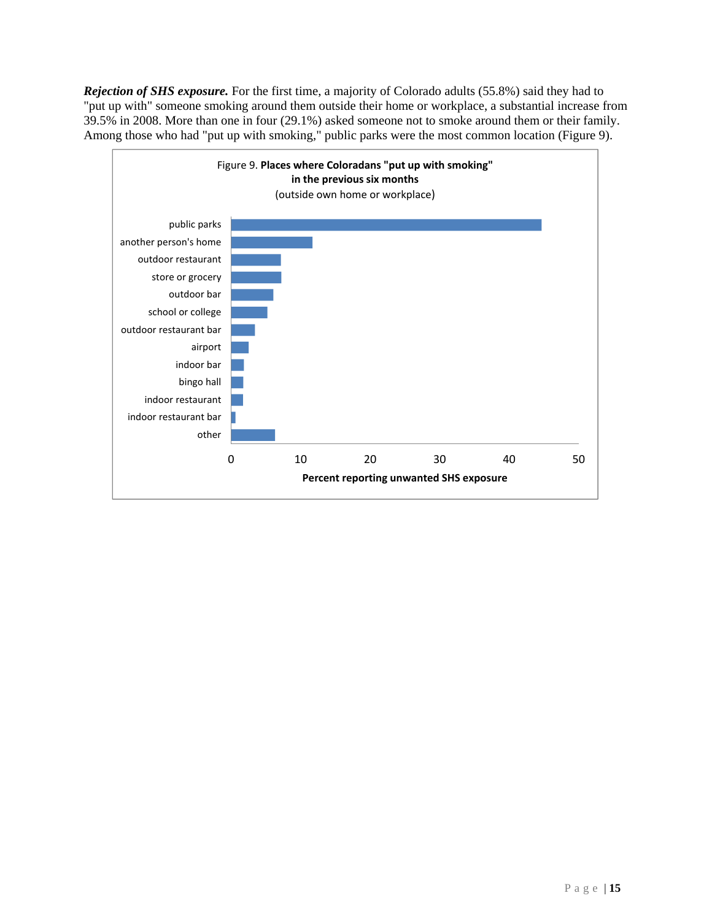*Rejection of SHS exposure.* For the first time, a majority of Colorado adults (55.8%) said they had to "put up with" someone smoking around them outside their home or workplace, a substantial increase from 39.5% in 2008. More than one in four (29.1%) asked someone not to smoke around them or their family. Among those who had "put up with smoking," public parks were the most common location (Figure 9).

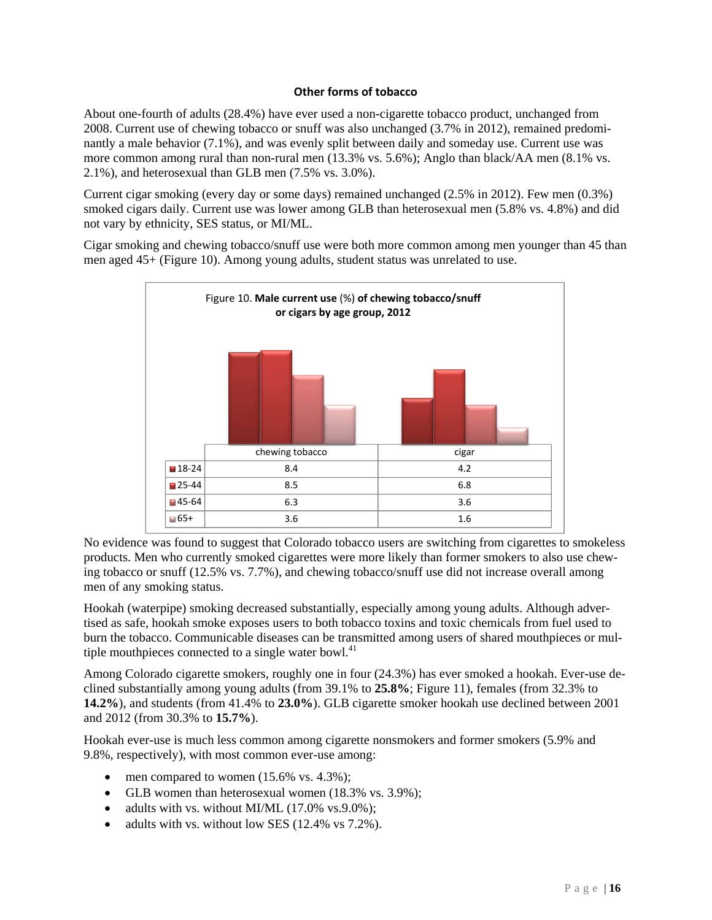#### **Other forms of tobacco**

About one-fourth of adults (28.4%) have ever used a non-cigarette tobacco product, unchanged from 2008. Current use of chewing tobacco or snuff was also unchanged (3.7% in 2012), remained predominantly a male behavior (7.1%), and was evenly split between daily and someday use. Current use was more common among rural than non-rural men (13.3% vs. 5.6%); Anglo than black/AA men (8.1% vs. 2.1%), and heterosexual than GLB men (7.5% vs. 3.0%).

Current cigar smoking (every day or some days) remained unchanged (2.5% in 2012). Few men (0.3%) smoked cigars daily. Current use was lower among GLB than heterosexual men (5.8% vs. 4.8%) and did not vary by ethnicity, SES status, or MI/ML.

Cigar smoking and chewing tobacco/snuff use were both more common among men younger than 45 than men aged 45+ (Figure 10). Among young adults, student status was unrelated to use.



No evidence was found to suggest that Colorado tobacco users are switching from cigarettes to smokeless products. Men who currently smoked cigarettes were more likely than former smokers to also use chewing tobacco or snuff (12.5% vs. 7.7%), and chewing tobacco/snuff use did not increase overall among men of any smoking status.

Hookah (waterpipe) smoking decreased substantially, especially among young adults. Although advertised as safe, hookah smoke exposes users to both tobacco toxins and toxic chemicals from fuel used to burn the tobacco. Communicable diseases can be transmitted among users of shared mouthpieces or multiple mouthpieces connected to a single water bowl. $41$ 

Among Colorado cigarette smokers, roughly one in four (24.3%) has ever smoked a hookah. Ever-use declined substantially among young adults (from 39.1% to **25.8%**; Figure 11), females (from 32.3% to **14.2%**), and students (from 41.4% to **23.0%**). GLB cigarette smoker hookah use declined between 2001 and 2012 (from 30.3% to **15.7%**).

Hookah ever-use is much less common among cigarette nonsmokers and former smokers (5.9% and 9.8%, respectively), with most common ever-use among:

- men compared to women  $(15.6\% \text{ vs. } 4.3\%);$
- GLB women than heterosexual women (18.3% vs. 3.9%);
- adults with vs. without MI/ML  $(17.0\% \text{ vs. } 9.0\%);$
- adults with vs. without low SES  $(12.4\% \text{ vs } 7.2\%).$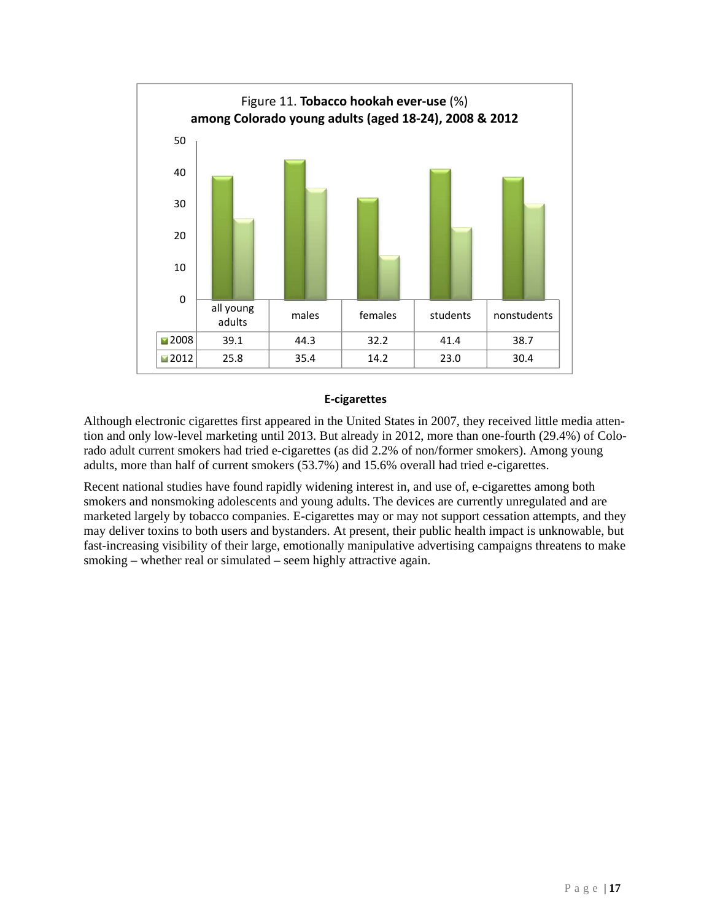

#### **E‐cigarettes**

Although electronic cigarettes first appeared in the United States in 2007, they received little media attention and only low-level marketing until 2013. But already in 2012, more than one-fourth (29.4%) of Colorado adult current smokers had tried e-cigarettes (as did 2.2% of non/former smokers). Among young adults, more than half of current smokers (53.7%) and 15.6% overall had tried e-cigarettes.

Recent national studies have found rapidly widening interest in, and use of, e-cigarettes among both smokers and nonsmoking adolescents and young adults. The devices are currently unregulated and are marketed largely by tobacco companies. E-cigarettes may or may not support cessation attempts, and they may deliver toxins to both users and bystanders. At present, their public health impact is unknowable, but fast-increasing visibility of their large, emotionally manipulative advertising campaigns threatens to make smoking – whether real or simulated – seem highly attractive again.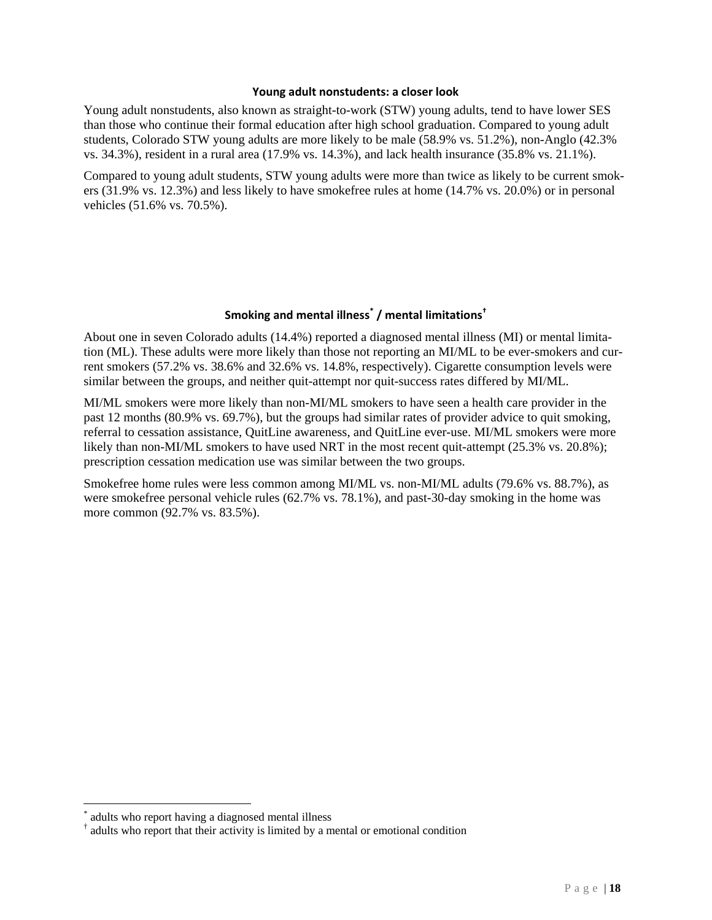#### **Young adult nonstudents: a closer look**

Young adult nonstudents, also known as straight-to-work (STW) young adults, tend to have lower SES than those who continue their formal education after high school graduation. Compared to young adult students, Colorado STW young adults are more likely to be male (58.9% vs. 51.2%), non-Anglo (42.3% vs. 34.3%), resident in a rural area (17.9% vs. 14.3%), and lack health insurance (35.8% vs. 21.1%).

Compared to young adult students, STW young adults were more than twice as likely to be current smokers (31.9% vs. 12.3%) and less likely to have smokefree rules at home (14.7% vs. 20.0%) or in personal vehicles (51.6% vs. 70.5%).

## **Smoking and mental illness\* / mental limitations†**

About one in seven Colorado adults (14.4%) reported a diagnosed mental illness (MI) or mental limitation (ML). These adults were more likely than those not reporting an MI/ML to be ever-smokers and current smokers (57.2% vs. 38.6% and 32.6% vs. 14.8%, respectively). Cigarette consumption levels were similar between the groups, and neither quit-attempt nor quit-success rates differed by MI/ML.

MI/ML smokers were more likely than non-MI/ML smokers to have seen a health care provider in the past 12 months (80.9% vs. 69.7%), but the groups had similar rates of provider advice to quit smoking, referral to cessation assistance, QuitLine awareness, and QuitLine ever-use. MI/ML smokers were more likely than non-MI/ML smokers to have used NRT in the most recent quit-attempt (25.3% vs. 20.8%); prescription cessation medication use was similar between the two groups.

Smokefree home rules were less common among MI/ML vs. non-MI/ML adults (79.6% vs. 88.7%), as were smokefree personal vehicle rules (62.7% vs. 78.1%), and past-30-day smoking in the home was more common (92.7% vs. 83.5%).

<sup>\*</sup> adults who report having a diagnosed mental illness

<sup>†</sup> adults who report that their activity is limited by a mental or emotional condition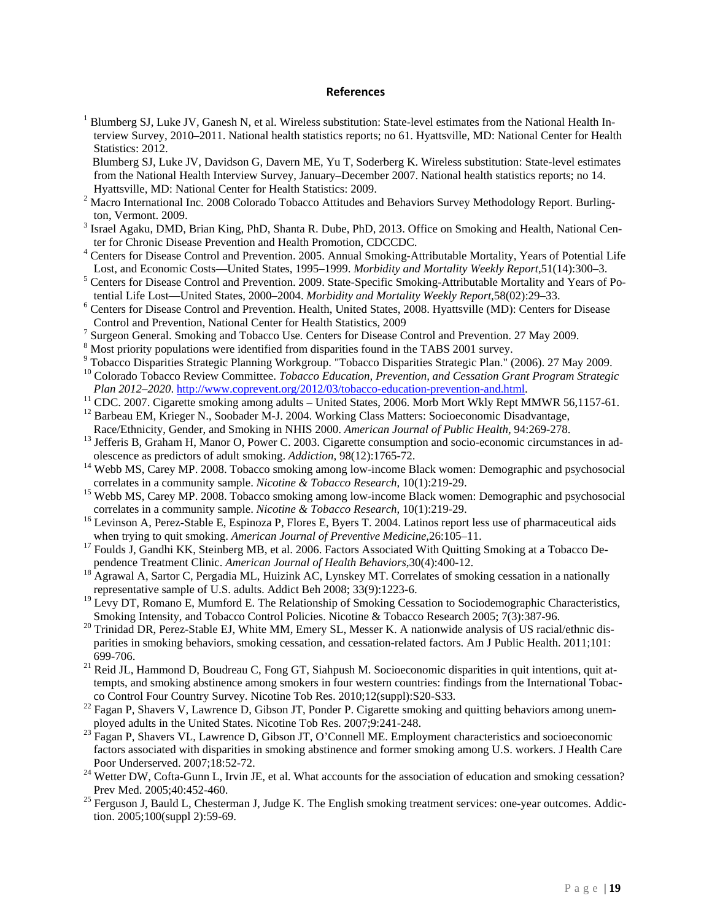#### **References**

- <sup>1</sup> Blumberg SJ, Luke JV, Ganesh N, et al. Wireless substitution: State-level estimates from the National Health Interview Survey, 2010–2011. National health statistics reports; no 61. Hyattsville, MD: National Center for Health Statistics: 2012.
- Blumberg SJ, Luke JV, Davidson G, Davern ME, Yu T, Soderberg K. Wireless substitution: State-level estimates from the National Health Interview Survey, January–December 2007. National health statistics reports; no 14. Hyattsville, MD: National Center for Health Statistics: 2009. 2
- <sup>2</sup> Macro International Inc. 2008 Colorado Tobacco Attitudes and Behaviors Survey Methodology Report. Burlington, Vermont. 2009.
- <sup>3</sup> Israel Agaku, DMD, Brian King, PhD, Shanta R. Dube, PhD, 2013. Office on Smoking and Health, National Center for Chronic Disease Prevention and Health Promotion, CDCCDC.
- <sup>4</sup> Centers for Disease Control and Prevention. 2005. Annual Smoking-Attributable Mortality, Years of Potential Life Lost, and Economic Costs—United States, 1995–1999. *Morbidity and Mortality Weekly Report*,51(14):300–3. 5
- <sup>5</sup> Centers for Disease Control and Prevention. 2009. State-Specific Smoking-Attributable Mortality and Years of Potential Life Lost—United States, 2000–2004. *Morbidity and Mortality Weekly Report*,58(02):29–33.
- Centers for Disease Control and Prevention. Health, United States, 2008. Hyattsville (MD): Centers for Disease Control and Prevention, National Center for Health Statistics, 2009
- <sup>7</sup> Surgeon General. Smoking and Tobacco Use. Centers for Disease Control and Prevention. 27 May 2009.
- 
- <sup>8</sup> Most priority populations were identified from disparities found in the TABS 2001 survey.<br><sup>9</sup> Tobacco Disparities Strategic Planning Workgroup. "Tobacco Disparities Strategic Plan." (2006). 27 May 2009.
- <sup>10</sup> Colorado Tobacco Review Committee. *Tobacco Education, Prevention, and Cessation Grant Program Strategic Plan 2012–2020.* http://www.coprevent.org/2012/03/tobacco-education-prevention-and.html.
- <sup>11</sup> CDC. 2007. Cigarette smoking among adults United States, 2006. Morb Mort Wkly Rept MMWR 56,1157-61.
- <sup>12</sup> Barbeau EM, Krieger N., Soobader M-J. 2004. Working Class Matters: Socioeconomic Disadvantage, Race/Ethnicity, Gender, and Smoking in NHIS 2000. *American Journal of Public Health*, 94:269-278.
- <sup>13</sup> Jefferis B, Graham H, Manor O, Power C. 2003. Cigarette consumption and socio-economic circumstances in ad-<br>olescence as predictors of adult smoking. *Addiction*, 98(12):1765-72.
- <sup>14</sup> Webb MS, Carey MP. 2008. Tobacco smoking among low-income Black women: Demographic and psychosocial
- correlates in a community sample. *Nicotine & Tobacco Research*, 10(1):219-29.<br><sup>15</sup> Webb MS, Carey MP. 2008. Tobacco smoking among low-income Black women: Demographic and psychosocial correlates in a community sample. *Nic*
- <sup>16</sup> Levinson A, Perez-Stable E, Espinoza P, Flores E, Byers T. 2004. Latinos report less use of pharmaceutical aids<br>when trying to quit smoking. *American Journal of Preventive Medicine*, 26:105–11.
- <sup>17</sup> Foulds J, Gandhi KK, Steinberg MB, et al. 2006. Factors Associated With Quitting Smoking at a Tobacco Dependence Treatment Clinic. American Journal of Health Behaviors, 30(4): 400-12.
- <sup>18</sup> Agrawal A, Sartor C, Pergadia ML, Huizink AC, Lynskey MT. Correlates of smoking cessation in a nationally representative sample of U.S. adults. Addict Beh 2008; 33(9):1223-6.
- <sup>19</sup> Levy DT, Romano E, Mumford E. The Relationship of Smoking Cessation to Sociodemographic Characteristics,<br>Smoking Intensity, and Tobacco Control Policies, Nicotine & Tobacco Research 2005: 7(3):387-96.
- <sup>20</sup> Trinidad DR, Perez-Stable EJ, White MM, Emery SL, Messer K. A nationwide analysis of US racial/ethnic disparities in smoking behaviors, smoking cessation, and cessation-related factors. Am J Public Health. 2011;101:
- 699-706.<br><sup>21</sup> Reid JL, Hammond D, Boudreau C, Fong GT, Siahpush M. Socioeconomic disparities in quit intentions, quit attempts, and smoking abstinence among smokers in four western countries: findings from the International Tobac-
- co Control Four Country Survey. Nicotine Tob Res. 2010;12(suppl):S20-S33.<br><sup>22</sup> Fagan P, Shavers V, Lawrence D, Gibson JT, Ponder P. Cigarette smoking and quitting behaviors among unem-<br>ployed adults in the United States. N
- $23$  Fagan P, Shavers VL, Lawrence D, Gibson JT, O'Connell ME. Employment characteristics and socioeconomic factors associated with disparities in smoking abstinence and former smoking among U.S. workers. J Health Care
- Poor Underserved. 2007;18:52-72.<br><sup>24</sup> Wetter DW, Cofta-Gunn L, Irvin JE, et al. What accounts for the association of education and smoking cessation?
- Prev Med. 2005;40:452-460.<br><sup>25</sup> Ferguson J, Bauld L, Chesterman J, Judge K. The English smoking treatment services: one-year outcomes. Addiction. 2005;100(suppl 2):59-69.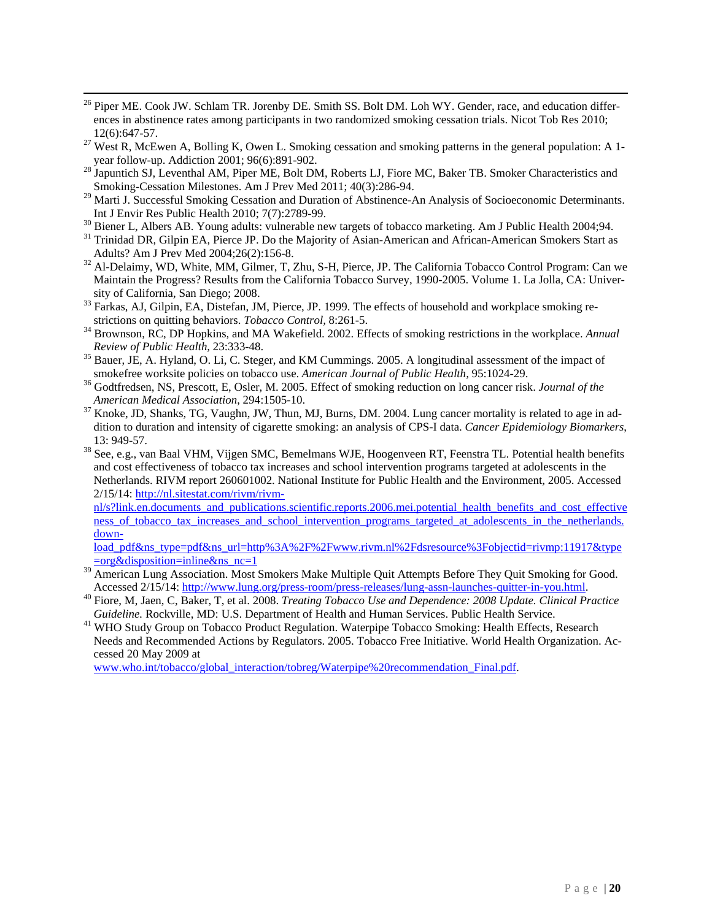- $^{26}$  Piper ME. Cook JW. Schlam TR. Jorenby DE. Smith SS. Bolt DM. Loh WY. Gender, race, and education differences in abstinence rates among participants in two randomized smoking cessation trials. Nicot Tob Res 2010; 12(6):647-57.<br><sup>27</sup> West R, McEwen A, Bolling K, Owen L. Smoking cessation and smoking patterns in the general population: A 1-
- 
- year follow-up. Addiction 2001; 96(6):891-902. 28 Japuntich SJ, Leventhal AM, Piper ME, Bolt DM, Roberts LJ, Fiore MC, Baker TB. Smoker Characteristics and Smoking-Cessation Milestones. Am J Prev Med 2011; 40(3):286-94.
- <sup>29</sup> Marti J. Successful Smoking Cessation and Duration of Abstinence-An Analysis of Socioeconomic Determinants.<br>Int J Envir Res Public Health 2010; 7(7):2789-99.
- 
- $30$  Biener L, Albers AB. Young adults: vulnerable new targets of tobacco marketing. Am J Public Health 2004;94.<br> $31$  Trinidad DR, Gilpin EA, Pierce JP. Do the Majority of Asian-American and African-American Smokers Start Adults? Am J Prev Med 2004;26(2):156-8.<br><sup>32</sup> Al-Delaimy, WD, White, MM, Gilmer, T, Zhu, S-H, Pierce, JP. The California Tobacco Control Program: Can we
- Maintain the Progress? Results from the California Tobacco Survey, 1990-2005. Volume 1. La Jolla, CA: Univer-
- sity of California, San Diego; 2008.<br><sup>33</sup> Farkas, AJ, Gilpin, EA, Distefan, JM, Pierce, JP. 1999. The effects of household and workplace smoking re-<br>strictions on quitting behaviors. *Tobacco Control*, 8:261-5.
- <sup>34</sup> Brownson, RC, DP Hopkins, and MA Wakefield. 2002. Effects of smoking restrictions in the workplace. *Annual*
- *Review of Public Health,* 23:333-48.<br><sup>35</sup> Bauer, JE, A. Hyland, O. Li, C. Steger, and KM Cummings. 2005. A longitudinal assessment of the impact of smokefree worksite policies on tobacco use. *American Journal of Public H*
- <sup>36</sup> Godtfredsen, NS, Prescott, E, Osler, M. 2005. Effect of smoking reduction on long cancer risk. *Journal of the*
- *American Medical Association*, 294:1505-10.<br><sup>37</sup> Knoke, JD, Shanks, TG, Vaughn, JW, Thun, MJ, Burns, DM. 2004. Lung cancer mortality is related to age in addition to duration and intensity of cigarette smoking: an analysis of CPS-I data. *Cancer Epidemiology Biomarkers*, 13: 949-57.<br><sup>38</sup> See, e.g., van Baal VHM, Vijgen SMC, Bemelmans WJE, Hoogenveen RT, Feenstra TL. Potential health benefits
- and cost effectiveness of tobacco tax increases and school intervention programs targeted at adolescents in the Netherlands. RIVM report 260601002. National Institute for Public Health and the Environment, 2005. Accessed 2/15/14: http://nl.sitestat.com/rivm/rivm-

nl/s?link.en.documents\_and\_publications.scientific.reports.2006.mei.potential\_health\_benefits\_and\_cost\_effective ness of tobacco tax increases and school\_intervention\_programs\_targeted\_at\_adolescents\_in\_the\_netherlands. down-

load\_pdf&ns\_type=pdf&ns\_url=http%3A%2F%2Fwww.rivm.nl%2Fdsresource%3Fobjectid=rivmp:11917&type =org&disposition=inline&ns\_nc=1<br>39 American Lung Association. Most Smokers Make Multiple Quit Attempts Before They Quit Smoking for Good.

- 
- Accessed 2/15/14: http://www.lung.org/press-room/press-releases/lung-assn-launches-quitter-in-you.html.<br><sup>40</sup> Fiore, M, Jaen, C, Baker, T, et al. 2008. *Treating Tobacco Use and Dependence: 2008 Update. Clinical Practice Gu*
- <sup>41</sup> WHO Study Group on Tobacco Product Regulation. Waterpipe Tobacco Smoking: Health Effects, Research Needs and Recommended Actions by Regulators. 2005. Tobacco Free Initiative. World Health Organization. Accessed 20 May 2009 at

www.who.int/tobacco/global\_interaction/tobreg/Waterpipe%20recommendation\_Final.pdf.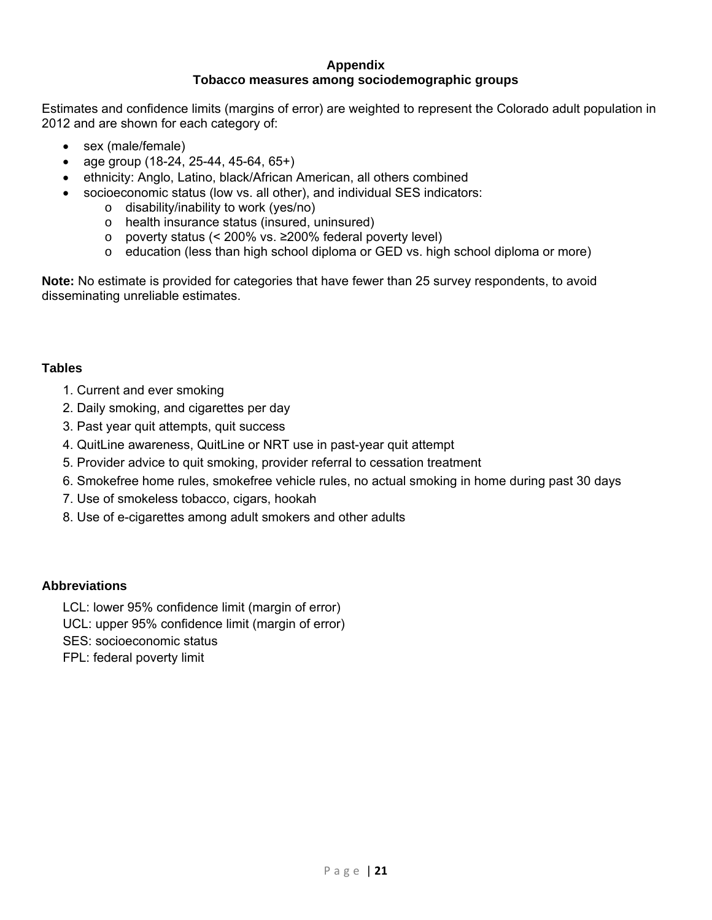### **Appendix Tobacco measures among sociodemographic groups**

Estimates and confidence limits (margins of error) are weighted to represent the Colorado adult population in 2012 and are shown for each category of:

- sex (male/female)
- age group (18-24, 25-44, 45-64, 65+)
- ethnicity: Anglo, Latino, black/African American, all others combined
- socioeconomic status (low vs. all other), and individual SES indicators:
	- o disability/inability to work (yes/no)
	- o health insurance status (insured, uninsured)
	- o poverty status (< 200% vs. ≥200% federal poverty level)
	- $\circ$  education (less than high school diploma or GED vs. high school diploma or more)

**Note:** No estimate is provided for categories that have fewer than 25 survey respondents, to avoid disseminating unreliable estimates.

## **Tables**

- 1. Current and ever smoking
- 2. Daily smoking, and cigarettes per day
- 3. Past year quit attempts, quit success
- 4. QuitLine awareness, QuitLine or NRT use in past-year quit attempt
- 5. Provider advice to quit smoking, provider referral to cessation treatment
- 6. Smokefree home rules, smokefree vehicle rules, no actual smoking in home during past 30 days
- 7. Use of smokeless tobacco, cigars, hookah
- 8. Use of e-cigarettes among adult smokers and other adults

## **Abbreviations**

LCL: lower 95% confidence limit (margin of error)

UCL: upper 95% confidence limit (margin of error)

SES: socioeconomic status

FPL: federal poverty limit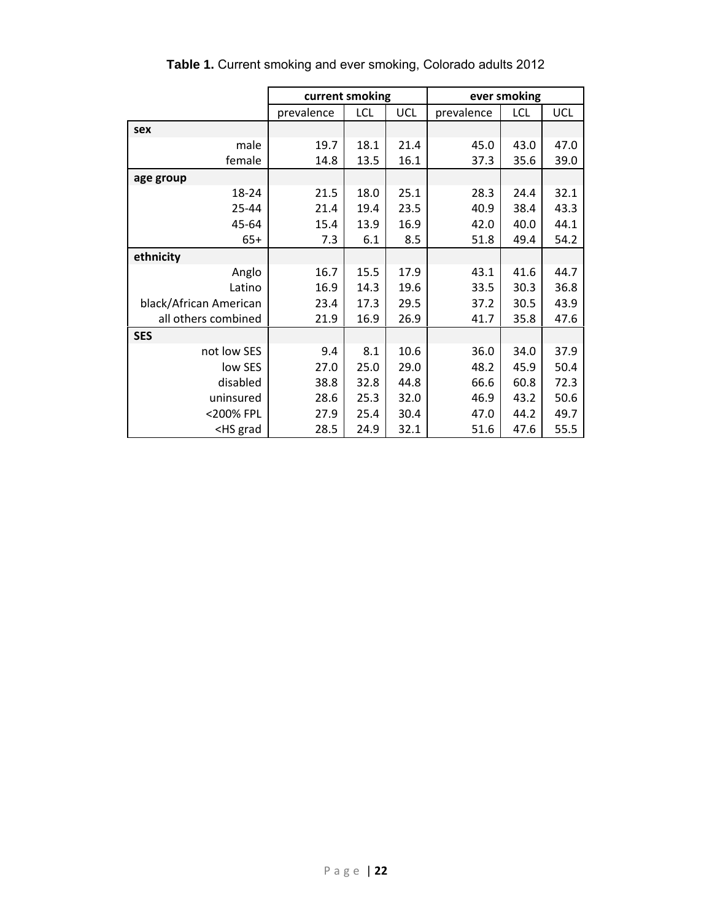|                                                                                                        | current smoking |            |            |            | ever smoking |            |
|--------------------------------------------------------------------------------------------------------|-----------------|------------|------------|------------|--------------|------------|
|                                                                                                        | prevalence      | <b>LCL</b> | <b>UCL</b> | prevalence | <b>LCL</b>   | <b>UCL</b> |
| sex                                                                                                    |                 |            |            |            |              |            |
| male                                                                                                   | 19.7            | 18.1       | 21.4       | 45.0       | 43.0         | 47.0       |
| female                                                                                                 | 14.8            | 13.5       | 16.1       | 37.3       | 35.6         | 39.0       |
| age group                                                                                              |                 |            |            |            |              |            |
| 18-24                                                                                                  | 21.5            | 18.0       | 25.1       | 28.3       | 24.4         | 32.1       |
| 25-44                                                                                                  | 21.4            | 19.4       | 23.5       | 40.9       | 38.4         | 43.3       |
| 45-64                                                                                                  | 15.4            | 13.9       | 16.9       | 42.0       | 40.0         | 44.1       |
| $65+$                                                                                                  | 7.3             | 6.1        | 8.5        | 51.8       | 49.4         | 54.2       |
| ethnicity                                                                                              |                 |            |            |            |              |            |
| Anglo                                                                                                  | 16.7            | 15.5       | 17.9       | 43.1       | 41.6         | 44.7       |
| Latino                                                                                                 | 16.9            | 14.3       | 19.6       | 33.5       | 30.3         | 36.8       |
| black/African American                                                                                 | 23.4            | 17.3       | 29.5       | 37.2       | 30.5         | 43.9       |
| all others combined                                                                                    | 21.9            | 16.9       | 26.9       | 41.7       | 35.8         | 47.6       |
| <b>SES</b>                                                                                             |                 |            |            |            |              |            |
| not low SES                                                                                            | 9.4             | 8.1        | 10.6       | 36.0       | 34.0         | 37.9       |
| low SES                                                                                                | 27.0            | 25.0       | 29.0       | 48.2       | 45.9         | 50.4       |
| disabled                                                                                               | 38.8            | 32.8       | 44.8       | 66.6       | 60.8         | 72.3       |
| uninsured                                                                                              | 28.6            | 25.3       | 32.0       | 46.9       | 43.2         | 50.6       |
| <200% FPL                                                                                              | 27.9            | 25.4       | 30.4       | 47.0       | 44.2         | 49.7       |
| <hs grad<="" td=""><td>28.5</td><td>24.9</td><td>32.1</td><td>51.6</td><td>47.6</td><td>55.5</td></hs> | 28.5            | 24.9       | 32.1       | 51.6       | 47.6         | 55.5       |

**Table 1.** Current smoking and ever smoking, Colorado adults 2012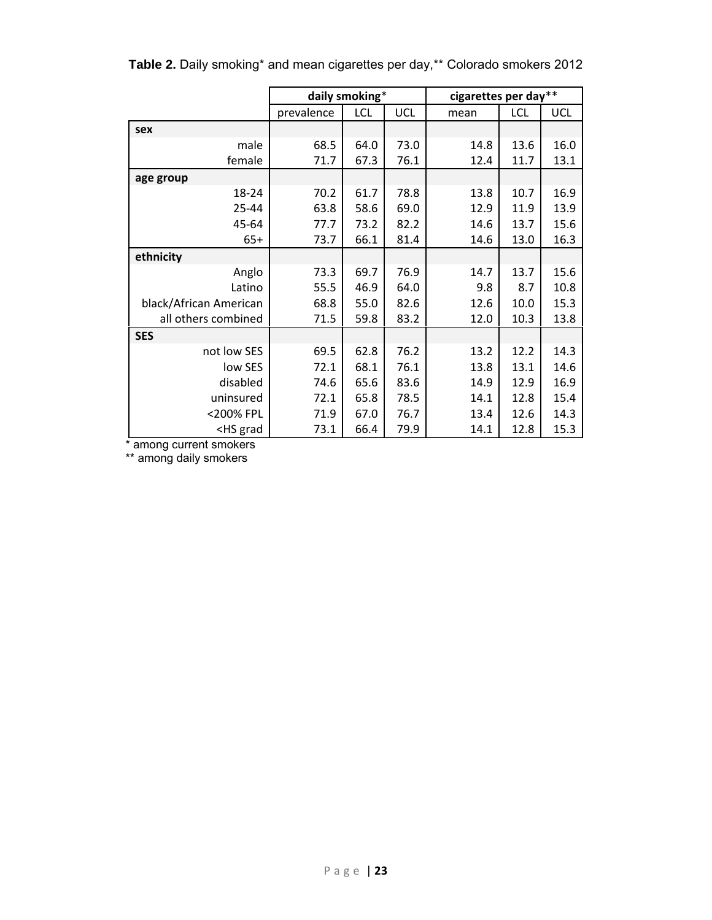|                                                                                                        |            | daily smoking* |            | cigarettes per day** |            |            |
|--------------------------------------------------------------------------------------------------------|------------|----------------|------------|----------------------|------------|------------|
|                                                                                                        | prevalence | <b>LCL</b>     | <b>UCL</b> | mean                 | <b>LCL</b> | <b>UCL</b> |
| sex                                                                                                    |            |                |            |                      |            |            |
| male                                                                                                   | 68.5       | 64.0           | 73.0       | 14.8                 | 13.6       | 16.0       |
| female                                                                                                 | 71.7       | 67.3           | 76.1       | 12.4                 | 11.7       | 13.1       |
| age group                                                                                              |            |                |            |                      |            |            |
| 18-24                                                                                                  | 70.2       | 61.7           | 78.8       | 13.8                 | 10.7       | 16.9       |
| 25-44                                                                                                  | 63.8       | 58.6           | 69.0       | 12.9                 | 11.9       | 13.9       |
| 45-64                                                                                                  | 77.7       | 73.2           | 82.2       | 14.6                 | 13.7       | 15.6       |
| $65+$                                                                                                  | 73.7       | 66.1           | 81.4       | 14.6                 | 13.0       | 16.3       |
| ethnicity                                                                                              |            |                |            |                      |            |            |
| Anglo                                                                                                  | 73.3       | 69.7           | 76.9       | 14.7                 | 13.7       | 15.6       |
| Latino                                                                                                 | 55.5       | 46.9           | 64.0       | 9.8                  | 8.7        | 10.8       |
| black/African American                                                                                 | 68.8       | 55.0           | 82.6       | 12.6                 | 10.0       | 15.3       |
| all others combined                                                                                    | 71.5       | 59.8           | 83.2       | 12.0                 | 10.3       | 13.8       |
| <b>SES</b>                                                                                             |            |                |            |                      |            |            |
| not low SES                                                                                            | 69.5       | 62.8           | 76.2       | 13.2                 | 12.2       | 14.3       |
| low SES                                                                                                | 72.1       | 68.1           | 76.1       | 13.8                 | 13.1       | 14.6       |
| disabled                                                                                               | 74.6       | 65.6           | 83.6       | 14.9                 | 12.9       | 16.9       |
| uninsured                                                                                              | 72.1       | 65.8           | 78.5       | 14.1                 | 12.8       | 15.4       |
| <200% FPL                                                                                              | 71.9       | 67.0           | 76.7       | 13.4                 | 12.6       | 14.3       |
| <hs grad<="" td=""><td>73.1</td><td>66.4</td><td>79.9</td><td>14.1</td><td>12.8</td><td>15.3</td></hs> | 73.1       | 66.4           | 79.9       | 14.1                 | 12.8       | 15.3       |

**Table 2.** Daily smoking\* and mean cigarettes per day,\*\* Colorado smokers 2012

\* among current smokers

\*\* among daily smokers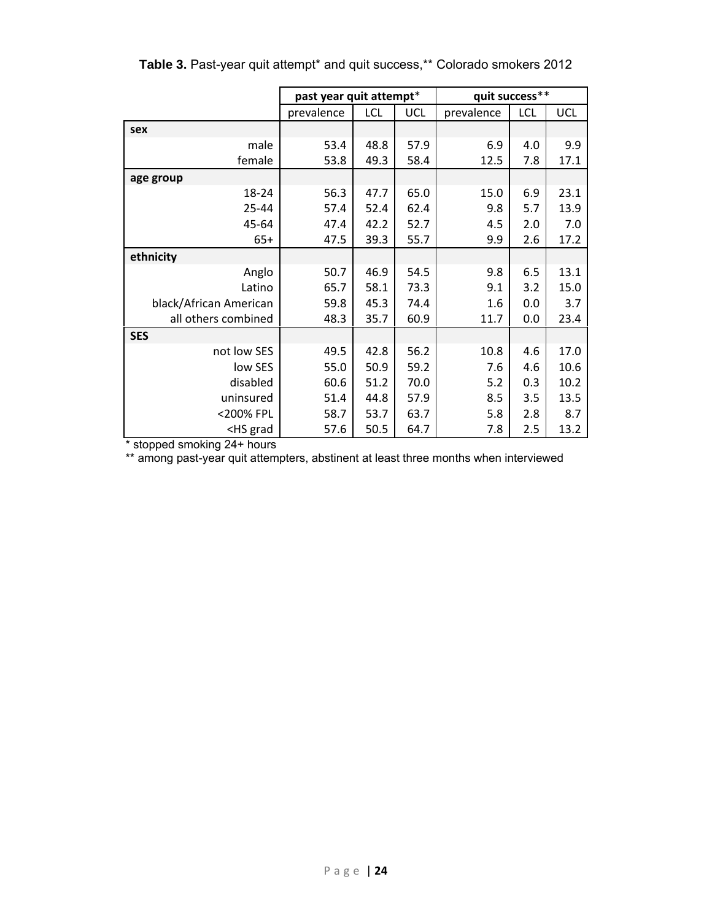|                                                                                                      | past year quit attempt* |            |            | quit success** |            |            |  |
|------------------------------------------------------------------------------------------------------|-------------------------|------------|------------|----------------|------------|------------|--|
|                                                                                                      | prevalence              | <b>LCL</b> | <b>UCL</b> | prevalence     | <b>LCL</b> | <b>UCL</b> |  |
| sex                                                                                                  |                         |            |            |                |            |            |  |
| male                                                                                                 | 53.4                    | 48.8       | 57.9       | 6.9            | 4.0        | 9.9        |  |
| female                                                                                               | 53.8                    | 49.3       | 58.4       | 12.5           | 7.8        | 17.1       |  |
| age group                                                                                            |                         |            |            |                |            |            |  |
| 18-24                                                                                                | 56.3                    | 47.7       | 65.0       | 15.0           | 6.9        | 23.1       |  |
| 25-44                                                                                                | 57.4                    | 52.4       | 62.4       | 9.8            | 5.7        | 13.9       |  |
| 45-64                                                                                                | 47.4                    | 42.2       | 52.7       | 4.5            | 2.0        | 7.0        |  |
| $65+$                                                                                                | 47.5                    | 39.3       | 55.7       | 9.9            | 2.6        | 17.2       |  |
| ethnicity                                                                                            |                         |            |            |                |            |            |  |
| Anglo                                                                                                | 50.7                    | 46.9       | 54.5       | 9.8            | 6.5        | 13.1       |  |
| Latino                                                                                               | 65.7                    | 58.1       | 73.3       | 9.1            | 3.2        | 15.0       |  |
| black/African American                                                                               | 59.8                    | 45.3       | 74.4       | 1.6            | 0.0        | 3.7        |  |
| all others combined                                                                                  | 48.3                    | 35.7       | 60.9       | 11.7           | 0.0        | 23.4       |  |
| <b>SES</b>                                                                                           |                         |            |            |                |            |            |  |
| not low SES                                                                                          | 49.5                    | 42.8       | 56.2       | 10.8           | 4.6        | 17.0       |  |
| low SES                                                                                              | 55.0                    | 50.9       | 59.2       | 7.6            | 4.6        | 10.6       |  |
| disabled                                                                                             | 60.6                    | 51.2       | 70.0       | 5.2            | 0.3        | 10.2       |  |
| uninsured                                                                                            | 51.4                    | 44.8       | 57.9       | 8.5            | 3.5        | 13.5       |  |
| <200% FPL                                                                                            | 58.7                    | 53.7       | 63.7       | 5.8            | 2.8        | 8.7        |  |
| <hs grad<="" td=""><td>57.6</td><td>50.5</td><td>64.7</td><td>7.8</td><td>2.5</td><td>13.2</td></hs> | 57.6                    | 50.5       | 64.7       | 7.8            | 2.5        | 13.2       |  |

Table 3. Past-year quit attempt\* and quit success,\*\* Colorado smokers 2012

\* stopped smoking 24+ hours

\*\* among past-year quit attempters, abstinent at least three months when interviewed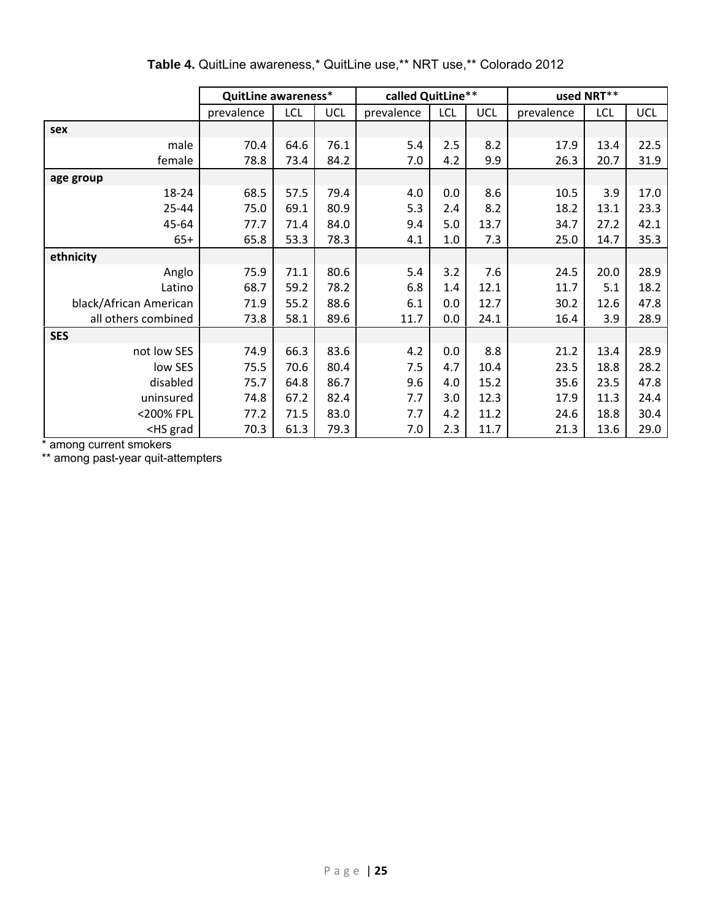|                                                                                                                                             | QuitLine awareness* |      |            | called QuitLine** |     |            |            | used NRT** |            |
|---------------------------------------------------------------------------------------------------------------------------------------------|---------------------|------|------------|-------------------|-----|------------|------------|------------|------------|
|                                                                                                                                             | prevalence          | LCL  | <b>UCL</b> | prevalence        | LCL | <b>UCL</b> | prevalence | <b>LCL</b> | <b>UCL</b> |
| sex                                                                                                                                         |                     |      |            |                   |     |            |            |            |            |
| male                                                                                                                                        | 70.4                | 64.6 | 76.1       | 5.4               | 2.5 | 8.2        | 17.9       | 13.4       | 22.5       |
| female                                                                                                                                      | 78.8                | 73.4 | 84.2       | 7.0               | 4.2 | 9.9        | 26.3       | 20.7       | 31.9       |
| age group                                                                                                                                   |                     |      |            |                   |     |            |            |            |            |
| 18-24                                                                                                                                       | 68.5                | 57.5 | 79.4       | 4.0               | 0.0 | 8.6        | 10.5       | 3.9        | 17.0       |
| 25-44                                                                                                                                       | 75.0                | 69.1 | 80.9       | 5.3               | 2.4 | 8.2        | 18.2       | 13.1       | 23.3       |
| 45-64                                                                                                                                       | 77.7                | 71.4 | 84.0       | 9.4               | 5.0 | 13.7       | 34.7       | 27.2       | 42.1       |
| $65+$                                                                                                                                       | 65.8                | 53.3 | 78.3       | 4.1               | 1.0 | 7.3        | 25.0       | 14.7       | 35.3       |
| ethnicity                                                                                                                                   |                     |      |            |                   |     |            |            |            |            |
| Anglo                                                                                                                                       | 75.9                | 71.1 | 80.6       | 5.4               | 3.2 | 7.6        | 24.5       | 20.0       | 28.9       |
| Latino                                                                                                                                      | 68.7                | 59.2 | 78.2       | 6.8               | 1.4 | 12.1       | 11.7       | 5.1        | 18.2       |
| black/African American                                                                                                                      | 71.9                | 55.2 | 88.6       | 6.1               | 0.0 | 12.7       | 30.2       | 12.6       | 47.8       |
| all others combined                                                                                                                         | 73.8                | 58.1 | 89.6       | 11.7              | 0.0 | 24.1       | 16.4       | 3.9        | 28.9       |
| <b>SES</b>                                                                                                                                  |                     |      |            |                   |     |            |            |            |            |
| not low SES                                                                                                                                 | 74.9                | 66.3 | 83.6       | 4.2               | 0.0 | 8.8        | 21.2       | 13.4       | 28.9       |
| low SES                                                                                                                                     | 75.5                | 70.6 | 80.4       | 7.5               | 4.7 | 10.4       | 23.5       | 18.8       | 28.2       |
| disabled                                                                                                                                    | 75.7                | 64.8 | 86.7       | 9.6               | 4.0 | 15.2       | 35.6       | 23.5       | 47.8       |
| uninsured                                                                                                                                   | 74.8                | 67.2 | 82.4       | 7.7               | 3.0 | 12.3       | 17.9       | 11.3       | 24.4       |
| <200% FPL                                                                                                                                   | 77.2                | 71.5 | 83.0       | 7.7               | 4.2 | 11.2       | 24.6       | 18.8       | 30.4       |
| <hs grad<="" td=""><td>70.3</td><td>61.3</td><td>79.3</td><td>7.0</td><td>2.3</td><td>11.7</td><td>21.3</td><td>13.6</td><td>29.0</td></hs> | 70.3                | 61.3 | 79.3       | 7.0               | 2.3 | 11.7       | 21.3       | 13.6       | 29.0       |

**Table 4.** QuitLine awareness,\* QuitLine use,\*\* NRT use,\*\* Colorado 2012

\* among current smokers

\*\* among past-year quit-attempters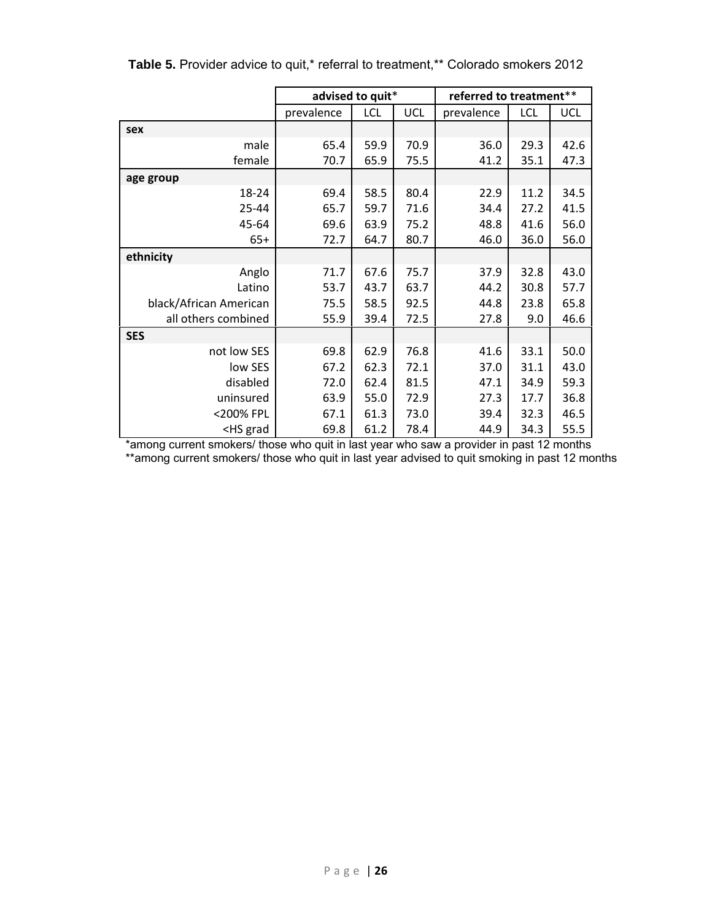|                                                                                                        |            | advised to quit* |            | referred to treatment** |            |            |
|--------------------------------------------------------------------------------------------------------|------------|------------------|------------|-------------------------|------------|------------|
|                                                                                                        | prevalence | <b>LCL</b>       | <b>UCL</b> | prevalence              | <b>LCL</b> | <b>UCL</b> |
| sex                                                                                                    |            |                  |            |                         |            |            |
| male                                                                                                   | 65.4       | 59.9             | 70.9       | 36.0                    | 29.3       | 42.6       |
| female                                                                                                 | 70.7       | 65.9             | 75.5       | 41.2                    | 35.1       | 47.3       |
| age group                                                                                              |            |                  |            |                         |            |            |
| 18-24                                                                                                  | 69.4       | 58.5             | 80.4       | 22.9                    | 11.2       | 34.5       |
| 25-44                                                                                                  | 65.7       | 59.7             | 71.6       | 34.4                    | 27.2       | 41.5       |
| 45-64                                                                                                  | 69.6       | 63.9             | 75.2       | 48.8                    | 41.6       | 56.0       |
| $65+$                                                                                                  | 72.7       | 64.7             | 80.7       | 46.0                    | 36.0       | 56.0       |
| ethnicity                                                                                              |            |                  |            |                         |            |            |
| Anglo                                                                                                  | 71.7       | 67.6             | 75.7       | 37.9                    | 32.8       | 43.0       |
| Latino                                                                                                 | 53.7       | 43.7             | 63.7       | 44.2                    | 30.8       | 57.7       |
| black/African American                                                                                 | 75.5       | 58.5             | 92.5       | 44.8                    | 23.8       | 65.8       |
| all others combined                                                                                    | 55.9       | 39.4             | 72.5       | 27.8                    | 9.0        | 46.6       |
| <b>SES</b>                                                                                             |            |                  |            |                         |            |            |
| not low SES                                                                                            | 69.8       | 62.9             | 76.8       | 41.6                    | 33.1       | 50.0       |
| low SES                                                                                                | 67.2       | 62.3             | 72.1       | 37.0                    | 31.1       | 43.0       |
| disabled                                                                                               | 72.0       | 62.4             | 81.5       | 47.1                    | 34.9       | 59.3       |
| uninsured                                                                                              | 63.9       | 55.0             | 72.9       | 27.3                    | 17.7       | 36.8       |
| <200% FPL                                                                                              | 67.1       | 61.3             | 73.0       | 39.4                    | 32.3       | 46.5       |
| <hs grad<="" td=""><td>69.8</td><td>61.2</td><td>78.4</td><td>44.9</td><td>34.3</td><td>55.5</td></hs> | 69.8       | 61.2             | 78.4       | 44.9                    | 34.3       | 55.5       |

**Table 5.** Provider advice to quit,\* referral to treatment,\*\* Colorado smokers 2012

 \*among current smokers/ those who quit in last year who saw a provider in past 12 months \*\*among current smokers/ those who quit in last year advised to quit smoking in past 12 months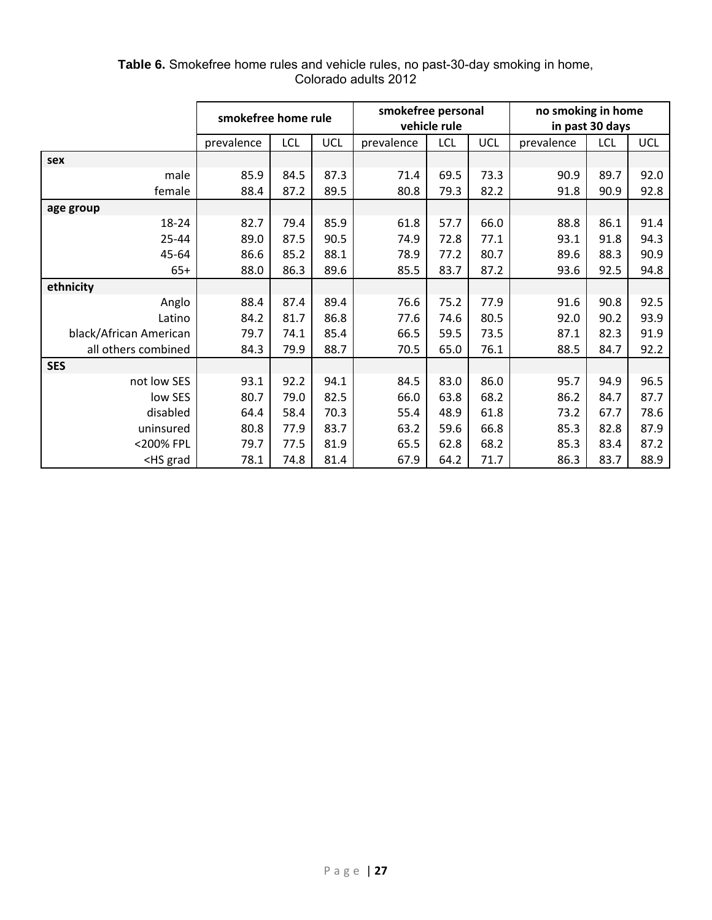|                                                                                                                                               |            | no smoking in home<br>smokefree personal<br>smokefree home rule<br>vehicle rule<br>in past 30 days |            |            |            |            |            |      |            |
|-----------------------------------------------------------------------------------------------------------------------------------------------|------------|----------------------------------------------------------------------------------------------------|------------|------------|------------|------------|------------|------|------------|
|                                                                                                                                               | prevalence | LCL                                                                                                | <b>UCL</b> | prevalence | <b>LCL</b> | <b>UCL</b> | prevalence | LCL  | <b>UCL</b> |
| sex                                                                                                                                           |            |                                                                                                    |            |            |            |            |            |      |            |
| male                                                                                                                                          | 85.9       | 84.5                                                                                               | 87.3       | 71.4       | 69.5       | 73.3       | 90.9       | 89.7 | 92.0       |
| female                                                                                                                                        | 88.4       | 87.2                                                                                               | 89.5       | 80.8       | 79.3       | 82.2       | 91.8       | 90.9 | 92.8       |
| age group                                                                                                                                     |            |                                                                                                    |            |            |            |            |            |      |            |
| 18-24                                                                                                                                         | 82.7       | 79.4                                                                                               | 85.9       | 61.8       | 57.7       | 66.0       | 88.8       | 86.1 | 91.4       |
| 25-44                                                                                                                                         | 89.0       | 87.5                                                                                               | 90.5       | 74.9       | 72.8       | 77.1       | 93.1       | 91.8 | 94.3       |
| 45-64                                                                                                                                         | 86.6       | 85.2                                                                                               | 88.1       | 78.9       | 77.2       | 80.7       | 89.6       | 88.3 | 90.9       |
| $65+$                                                                                                                                         | 88.0       | 86.3                                                                                               | 89.6       | 85.5       | 83.7       | 87.2       | 93.6       | 92.5 | 94.8       |
| ethnicity                                                                                                                                     |            |                                                                                                    |            |            |            |            |            |      |            |
| Anglo                                                                                                                                         | 88.4       | 87.4                                                                                               | 89.4       | 76.6       | 75.2       | 77.9       | 91.6       | 90.8 | 92.5       |
| Latino                                                                                                                                        | 84.2       | 81.7                                                                                               | 86.8       | 77.6       | 74.6       | 80.5       | 92.0       | 90.2 | 93.9       |
| black/African American                                                                                                                        | 79.7       | 74.1                                                                                               | 85.4       | 66.5       | 59.5       | 73.5       | 87.1       | 82.3 | 91.9       |
| all others combined                                                                                                                           | 84.3       | 79.9                                                                                               | 88.7       | 70.5       | 65.0       | 76.1       | 88.5       | 84.7 | 92.2       |
| <b>SES</b>                                                                                                                                    |            |                                                                                                    |            |            |            |            |            |      |            |
| not low SES                                                                                                                                   | 93.1       | 92.2                                                                                               | 94.1       | 84.5       | 83.0       | 86.0       | 95.7       | 94.9 | 96.5       |
| low SES                                                                                                                                       | 80.7       | 79.0                                                                                               | 82.5       | 66.0       | 63.8       | 68.2       | 86.2       | 84.7 | 87.7       |
| disabled                                                                                                                                      | 64.4       | 58.4                                                                                               | 70.3       | 55.4       | 48.9       | 61.8       | 73.2       | 67.7 | 78.6       |
| uninsured                                                                                                                                     | 80.8       | 77.9                                                                                               | 83.7       | 63.2       | 59.6       | 66.8       | 85.3       | 82.8 | 87.9       |
| <200% FPL                                                                                                                                     | 79.7       | 77.5                                                                                               | 81.9       | 65.5       | 62.8       | 68.2       | 85.3       | 83.4 | 87.2       |
| <hs grad<="" td=""><td>78.1</td><td>74.8</td><td>81.4</td><td>67.9</td><td>64.2</td><td>71.7</td><td>86.3</td><td>83.7</td><td>88.9</td></hs> | 78.1       | 74.8                                                                                               | 81.4       | 67.9       | 64.2       | 71.7       | 86.3       | 83.7 | 88.9       |

## **Table 6.** Smokefree home rules and vehicle rules, no past-30-day smoking in home, Colorado adults 2012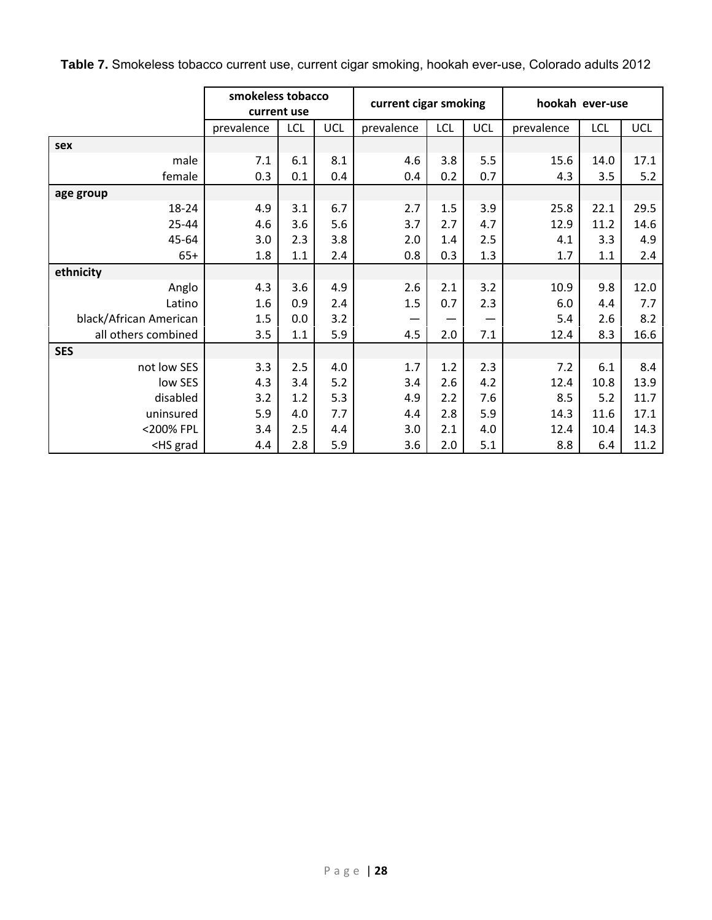|                                                                                                                                       |            | smokeless tobacco<br>current use |            | current cigar smoking |            |            | hookah ever-use |            |            |
|---------------------------------------------------------------------------------------------------------------------------------------|------------|----------------------------------|------------|-----------------------|------------|------------|-----------------|------------|------------|
|                                                                                                                                       | prevalence | <b>LCL</b>                       | <b>UCL</b> | prevalence            | <b>LCL</b> | <b>UCL</b> | prevalence      | <b>LCL</b> | <b>UCL</b> |
| sex                                                                                                                                   |            |                                  |            |                       |            |            |                 |            |            |
| male                                                                                                                                  | 7.1        | 6.1                              | 8.1        | 4.6                   | 3.8        | 5.5        | 15.6            | 14.0       | 17.1       |
| female                                                                                                                                | 0.3        | 0.1                              | 0.4        | 0.4                   | 0.2        | 0.7        | 4.3             | 3.5        | 5.2        |
| age group                                                                                                                             |            |                                  |            |                       |            |            |                 |            |            |
| 18-24                                                                                                                                 | 4.9        | 3.1                              | 6.7        | 2.7                   | 1.5        | 3.9        | 25.8            | 22.1       | 29.5       |
| 25-44                                                                                                                                 | 4.6        | 3.6                              | 5.6        | 3.7                   | 2.7        | 4.7        | 12.9            | 11.2       | 14.6       |
| 45-64                                                                                                                                 | 3.0        | 2.3                              | 3.8        | 2.0                   | 1.4        | 2.5        | 4.1             | 3.3        | 4.9        |
| $65+$                                                                                                                                 | 1.8        | 1.1                              | 2.4        | 0.8                   | 0.3        | 1.3        | 1.7             | 1.1        | 2.4        |
| ethnicity                                                                                                                             |            |                                  |            |                       |            |            |                 |            |            |
| Anglo                                                                                                                                 | 4.3        | 3.6                              | 4.9        | 2.6                   | 2.1        | 3.2        | 10.9            | 9.8        | 12.0       |
| Latino                                                                                                                                | 1.6        | 0.9                              | 2.4        | 1.5                   | 0.7        | 2.3        | 6.0             | 4.4        | 7.7        |
| black/African American                                                                                                                | 1.5        | 0.0                              | 3.2        |                       |            |            | 5.4             | 2.6        | 8.2        |
| all others combined                                                                                                                   | 3.5        | 1.1                              | 5.9        | 4.5                   | 2.0        | 7.1        | 12.4            | 8.3        | 16.6       |
| <b>SES</b>                                                                                                                            |            |                                  |            |                       |            |            |                 |            |            |
| not low SES                                                                                                                           | 3.3        | 2.5                              | 4.0        | 1.7                   | 1.2        | 2.3        | 7.2             | 6.1        | 8.4        |
| low SES                                                                                                                               | 4.3        | 3.4                              | 5.2        | 3.4                   | 2.6        | 4.2        | 12.4            | 10.8       | 13.9       |
| disabled                                                                                                                              | 3.2        | 1.2                              | 5.3        | 4.9                   | 2.2        | 7.6        | 8.5             | 5.2        | 11.7       |
| uninsured                                                                                                                             | 5.9        | 4.0                              | 7.7        | 4.4                   | 2.8        | 5.9        | 14.3            | 11.6       | 17.1       |
| <200% FPL                                                                                                                             | 3.4        | 2.5                              | 4.4        | 3.0                   | 2.1        | 4.0        | 12.4            | 10.4       | 14.3       |
| <hs grad<="" td=""><td>4.4</td><td>2.8</td><td>5.9</td><td>3.6</td><td>2.0</td><td>5.1</td><td>8.8</td><td>6.4</td><td>11.2</td></hs> | 4.4        | 2.8                              | 5.9        | 3.6                   | 2.0        | 5.1        | 8.8             | 6.4        | 11.2       |

**Table 7.** Smokeless tobacco current use, current cigar smoking, hookah ever-use, Colorado adults 2012